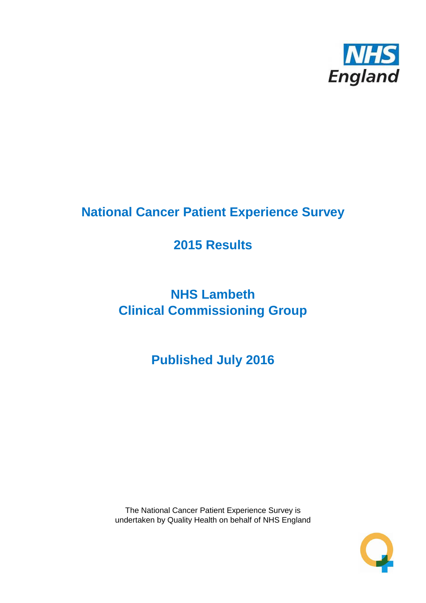

# **National Cancer Patient Experience Survey**

# **2015 Results**

# **NHS Lambeth Clinical Commissioning Group**

**Published July 2016**

The National Cancer Patient Experience Survey is undertaken by Quality Health on behalf of NHS England

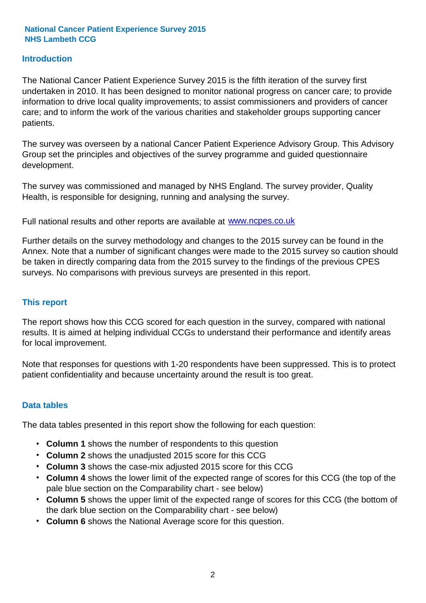#### **Introduction**

The National Cancer Patient Experience Survey 2015 is the fifth iteration of the survey first undertaken in 2010. It has been designed to monitor national progress on cancer care; to provide information to drive local quality improvements; to assist commissioners and providers of cancer care; and to inform the work of the various charities and stakeholder groups supporting cancer patients.

The survey was overseen by a national Cancer Patient Experience Advisory Group. This Advisory Group set the principles and objectives of the survey programme and guided questionnaire development.

The survey was commissioned and managed by NHS England. The survey provider, Quality Health, is responsible for designing, running and analysing the survey.

Full national results and other reports are available at www.ncpes.co.uk

Further details on the survey methodology and changes to the 2015 survey can be found in the Annex. Note that a number of significant changes were made to the 2015 survey so caution should be taken in directly comparing data from the 2015 survey to the findings of the previous CPES surveys. No comparisons with previous surveys are presented in this report.

#### **This report**

The report shows how this CCG scored for each question in the survey, compared with national results. It is aimed at helping individual CCGs to understand their performance and identify areas for local improvement.

Note that responses for questions with 1-20 respondents have been suppressed. This is to protect patient confidentiality and because uncertainty around the result is too great.

#### **Data tables**

The data tables presented in this report show the following for each question:

- **Column 1** shows the number of respondents to this question
- **Column 2** shows the unadjusted 2015 score for this CCG
- **Column 3** shows the case-mix adjusted 2015 score for this CCG
- **Column 4** shows the lower limit of the expected range of scores for this CCG (the top of the pale blue section on the Comparability chart - see below)
- **Column 5** shows the upper limit of the expected range of scores for this CCG (the bottom of the dark blue section on the Comparability chart - see below)
- **Column 6** shows the National Average score for this question.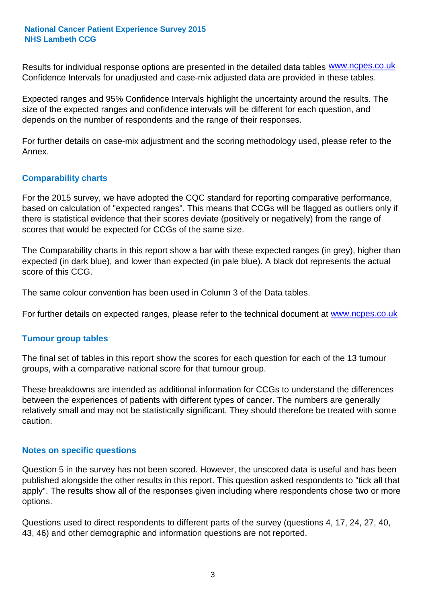Results for individual response options are presented in the detailed data tables **WWW.ncpes.co.uk** Confidence Intervals for unadjusted and case-mix adjusted data are provided in these tables.

Expected ranges and 95% Confidence Intervals highlight the uncertainty around the results. The size of the expected ranges and confidence intervals will be different for each question, and depends on the number of respondents and the range of their responses.

For further details on case-mix adjustment and the scoring methodology used, please refer to the Annex.

#### **Comparability charts**

For the 2015 survey, we have adopted the CQC standard for reporting comparative performance, based on calculation of "expected ranges". This means that CCGs will be flagged as outliers only if there is statistical evidence that their scores deviate (positively or negatively) from the range of scores that would be expected for CCGs of the same size.

The Comparability charts in this report show a bar with these expected ranges (in grey), higher than expected (in dark blue), and lower than expected (in pale blue). A black dot represents the actual score of this CCG.

The same colour convention has been used in Column 3 of the Data tables.

For further details on expected ranges, please refer to the technical document at **www.ncpes.co.uk** 

#### **Tumour group tables**

The final set of tables in this report show the scores for each question for each of the 13 tumour groups, with a comparative national score for that tumour group.

These breakdowns are intended as additional information for CCGs to understand the differences between the experiences of patients with different types of cancer. The numbers are generally relatively small and may not be statistically significant. They should therefore be treated with some caution.

#### **Notes on specific questions**

Question 5 in the survey has not been scored. However, the unscored data is useful and has been published alongside the other results in this report. This question asked respondents to "tick all that apply". The results show all of the responses given including where respondents chose two or more options.

Questions used to direct respondents to different parts of the survey (questions 4, 17, 24, 27, 40, 43, 46) and other demographic and information questions are not reported.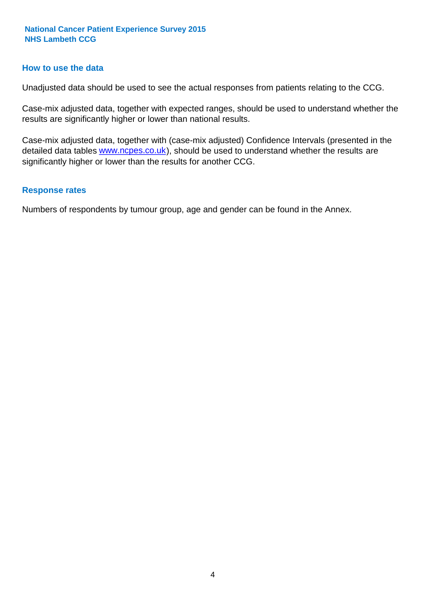#### **How to use the data**

Unadjusted data should be used to see the actual responses from patients relating to the CCG.

Case-mix adjusted data, together with expected ranges, should be used to understand whether the results are significantly higher or lower than national results.

Case-mix adjusted data, together with (case-mix adjusted) Confidence Intervals (presented in the detailed data tables **www.ncpes.co.uk**), should be used to understand whether the results are significantly higher or lower than the results for another CCG.

#### **Response rates**

Numbers of respondents by tumour group, age and gender can be found in the Annex.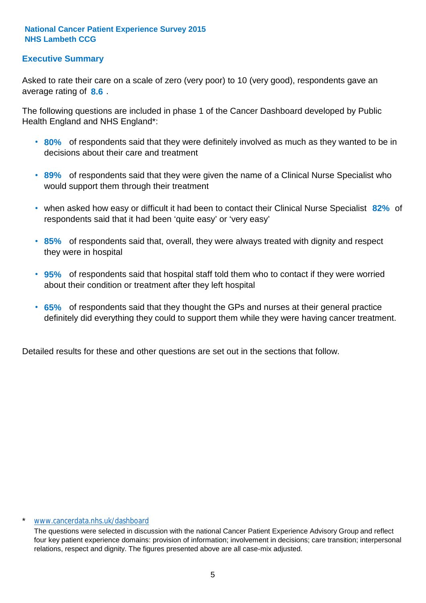#### **Executive Summary**

average rating of 8.6. Asked to rate their care on a scale of zero (very poor) to 10 (very good), respondents gave an

The following questions are included in phase 1 of the Cancer Dashboard developed by Public Health England and NHS England\*:

- **80%** of respondents said that they were definitely involved as much as they wanted to be in decisions about their care and treatment
- **89%** of respondents said that they were given the name of a Clinical Nurse Specialist who would support them through their treatment
- when asked how easy or difficult it had been to contact their Clinical Nurse Specialist 82% of respondents said that it had been 'quite easy' or 'very easy'
- **85%** of respondents said that, overall, they were always treated with dignity and respect they were in hospital
- **95%** of respondents said that hospital staff told them who to contact if they were worried about their condition or treatment after they left hospital
- **65%** of respondents said that they thought the GPs and nurses at their general practice definitely did everything they could to support them while they were having cancer treatment.

Detailed results for these and other questions are set out in the sections that follow.

#### \* www.cancerdata.nhs.uk/dashboard

The questions were selected in discussion with the national Cancer Patient Experience Advisory Group and reflect four key patient experience domains: provision of information; involvement in decisions; care transition; interpersonal relations, respect and dignity. The figures presented above are all case-mix adjusted.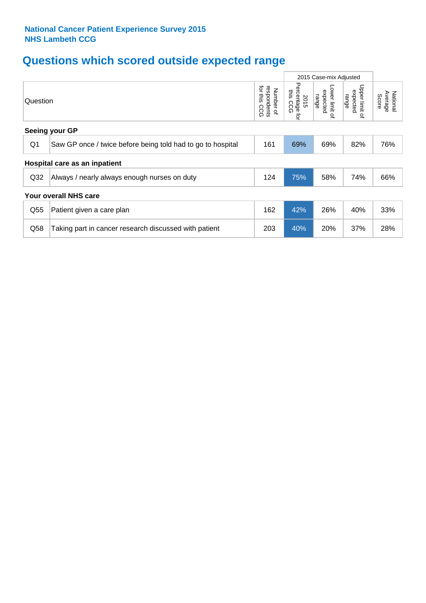# **Questions which scored outside expected range**

|                 |                                                             |     |     | 2015 Case-mix Adjusted                       |                                                              |                              |
|-----------------|-------------------------------------------------------------|-----|-----|----------------------------------------------|--------------------------------------------------------------|------------------------------|
|                 | Question                                                    |     |     | Lower limit<br>expected<br>range<br>$\Omega$ | Upper limit<br>expected<br>range<br>$\overline{\mathcal{C}}$ | Average<br>National<br>Score |
|                 | Seeing your GP                                              |     |     |                                              |                                                              |                              |
| Q <sub>1</sub>  | Saw GP once / twice before being told had to go to hospital | 161 | 69% | 69%                                          | 82%                                                          | 76%                          |
|                 | Hospital care as an inpatient                               |     |     |                                              |                                                              |                              |
| Q <sub>32</sub> | Always / nearly always enough nurses on duty                | 124 | 75% | 58%                                          | 74%                                                          | 66%                          |
|                 | Your overall NHS care                                       |     |     |                                              |                                                              |                              |
| Q55             | Patient given a care plan                                   | 162 | 42% | 26%                                          | 40%                                                          | 33%                          |
| Q58             | Taking part in cancer research discussed with patient       | 203 | 40% | 20%                                          | 37%                                                          | 28%                          |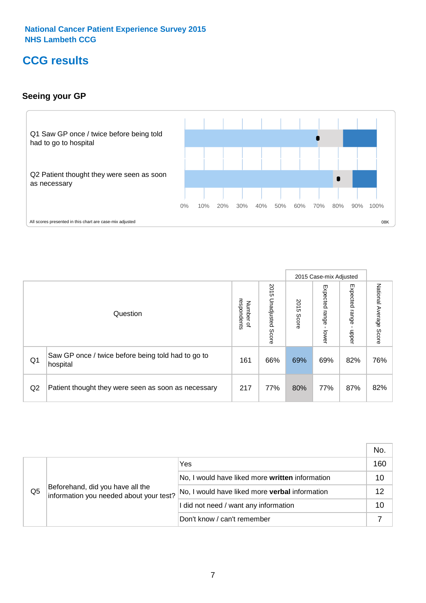### **CCG results**

#### **Seeing your GP**



|                |                                                                |                                              |                             |               | 2015 Case-mix Adjusted     |                            |                        |
|----------------|----------------------------------------------------------------|----------------------------------------------|-----------------------------|---------------|----------------------------|----------------------------|------------------------|
|                | Question                                                       | respondents<br>Number<br>$\overline{\sigma}$ | 2015<br>Unadjusted<br>Score | 2015<br>Score | Expected<br>range<br>lower | Expected<br>range<br>nbber | National Average Score |
| Q <sub>1</sub> | Saw GP once / twice before being told had to go to<br>hospital | 161                                          | 66%                         | 69%           | 69%                        | 82%                        | 76%                    |
| Q2             | Patient thought they were seen as soon as necessary            | 217                                          | 77%                         | 80%           | 77%                        | 87%                        | 82%                    |

|    |                                                                             |                                                 | No. |
|----|-----------------------------------------------------------------------------|-------------------------------------------------|-----|
|    | Beforehand, did you have all the<br>information you needed about your test? | Yes                                             | 160 |
|    |                                                                             | No, I would have liked more written information | 10  |
| Q5 |                                                                             | No, I would have liked more verbal information  | 12  |
|    |                                                                             | I did not need / want any information           | 10  |
|    |                                                                             | Don't know / can't remember                     |     |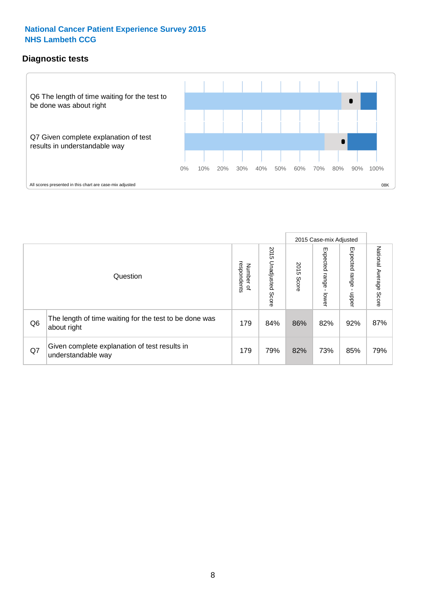#### **Diagnostic tests**



|                |                                                                       |                                       |                             |               | 2015 Case-mix Adjusted  |                         |                           |
|----------------|-----------------------------------------------------------------------|---------------------------------------|-----------------------------|---------------|-------------------------|-------------------------|---------------------------|
|                | Question                                                              | respondents<br>Number<br>$\mathbf{Q}$ | 2015<br>Unadjusted<br>Score | 2015<br>Score | Expected range<br>lower | Expected range<br>nbber | National Average<br>Score |
| Q <sub>6</sub> | The length of time waiting for the test to be done was<br>about right | 179                                   | 84%                         | 86%           | 82%                     | 92%                     | 87%                       |
| Q7             | Given complete explanation of test results in<br>understandable way   | 179                                   | 79%                         | 82%           | 73%                     | 85%                     | 79%                       |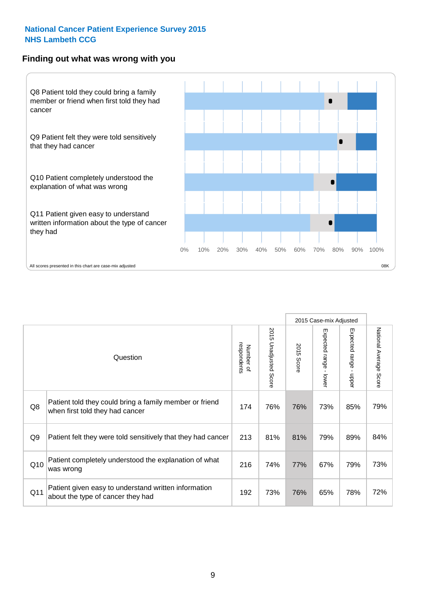#### **Finding out what was wrong with you**



|     |                                                                                            |                          |                       |            | 2015 Case-mix Adjusted |                        |                        |
|-----|--------------------------------------------------------------------------------------------|--------------------------|-----------------------|------------|------------------------|------------------------|------------------------|
|     | Question                                                                                   | respondents<br>Number of | 2015 Unadjusted Score | 2015 Score | Expected range - lower | Expected range - upper | National Average Score |
| Q8  | Patient told they could bring a family member or friend<br>when first told they had cancer | 174                      | 76%                   | 76%        | 73%                    | 85%                    | 79%                    |
| Q9  | Patient felt they were told sensitively that they had cancer                               | 213                      | 81%                   | 81%        | 79%                    | 89%                    | 84%                    |
| Q10 | Patient completely understood the explanation of what<br>was wrong                         | 216                      | 74%                   | 77%        | 67%                    | 79%                    | 73%                    |
| Q11 | Patient given easy to understand written information<br>about the type of cancer they had  | 192                      | 73%                   | 76%        | 65%                    | 78%                    | 72%                    |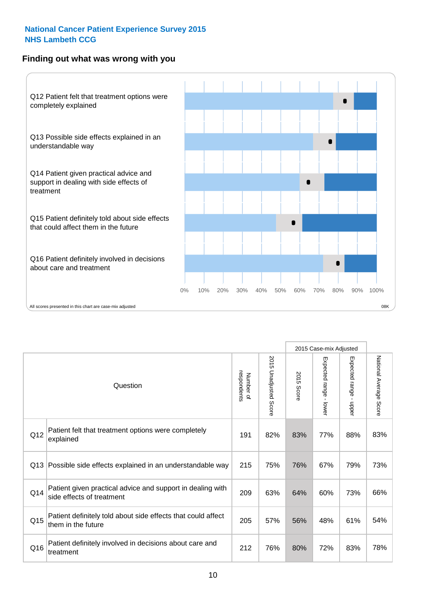#### **Finding out what was wrong with you**



|     |                                                                                         |                          |                                 |               | 2015 Case-mix Adjusted                    |                        |                        |
|-----|-----------------------------------------------------------------------------------------|--------------------------|---------------------------------|---------------|-------------------------------------------|------------------------|------------------------|
|     | Question                                                                                | Number of<br>respondents | 2015<br><b>Unadjusted Score</b> | 2015<br>Score | Expected range<br>$\blacksquare$<br>lower | Expected range - upper | National Average Score |
| Q12 | Patient felt that treatment options were completely<br>explained                        | 191                      | 82%                             | 83%           | 77%                                       | 88%                    | 83%                    |
| Q13 | Possible side effects explained in an understandable way                                | 215                      | 75%                             | 76%           | 67%                                       | 79%                    | 73%                    |
| Q14 | Patient given practical advice and support in dealing with<br>side effects of treatment | 209                      | 63%                             | 64%           | 60%                                       | 73%                    | 66%                    |
| Q15 | Patient definitely told about side effects that could affect<br>them in the future      | 205                      | 57%                             | 56%           | 48%                                       | 61%                    | 54%                    |
| Q16 | Patient definitely involved in decisions about care and<br>treatment                    | 212                      | 76%                             | 80%           | 72%                                       | 83%                    | 78%                    |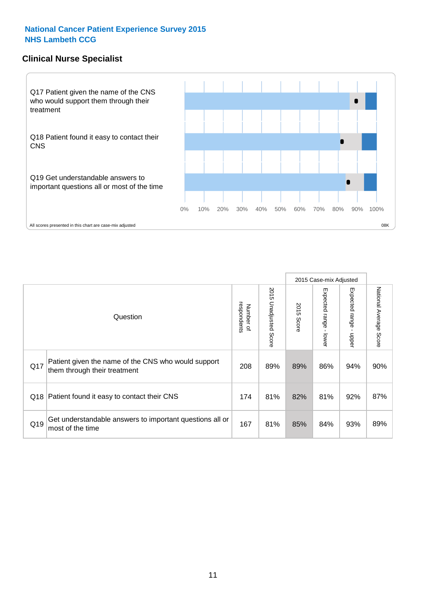#### **Clinical Nurse Specialist**



|     |                                                                                     |                          |                       |               | 2015 Case-mix Adjusted  |                         |                        |
|-----|-------------------------------------------------------------------------------------|--------------------------|-----------------------|---------------|-------------------------|-------------------------|------------------------|
|     | Question                                                                            | respondents<br>Number of | 2015 Unadjusted Score | 2015<br>Score | Expected range<br>lower | Expected range<br>nbber | National Average Score |
| Q17 | Patient given the name of the CNS who would support<br>them through their treatment | 208                      | 89%                   | 89%           | 86%                     | 94%                     | 90%                    |
|     | Q18 Patient found it easy to contact their CNS                                      | 174                      | 81%                   | 82%           | 81%                     | 92%                     | 87%                    |
| Q19 | Get understandable answers to important questions all or<br>most of the time        | 167                      | 81%                   | 85%           | 84%                     | 93%                     | 89%                    |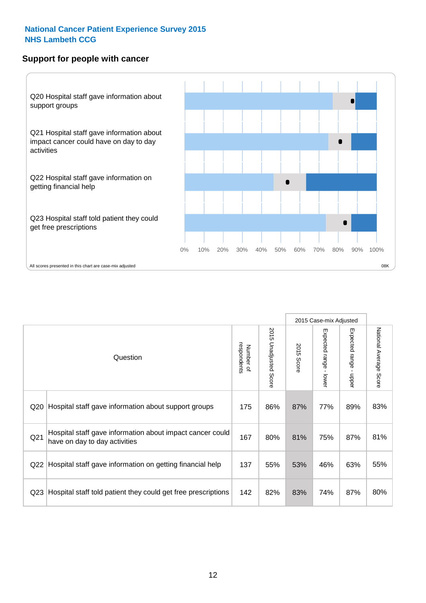#### **Support for people with cancer**



|                 |                                                                                            |                          |                       |               | 2015 Case-mix Adjusted  |                                           |                        |
|-----------------|--------------------------------------------------------------------------------------------|--------------------------|-----------------------|---------------|-------------------------|-------------------------------------------|------------------------|
|                 | Question                                                                                   | respondents<br>Number of | 2015 Unadjusted Score | 2015<br>Score | Expected range<br>lower | Expected range<br>$\blacksquare$<br>nbber | National Average Score |
| Q <sub>20</sub> | Hospital staff gave information about support groups                                       | 175                      | 86%                   | 87%           | 77%                     | 89%                                       | 83%                    |
| Q <sub>21</sub> | Hospital staff gave information about impact cancer could<br>have on day to day activities | 167                      | 80%                   | 81%           | 75%                     | 87%                                       | 81%                    |
| Q <sub>22</sub> | Hospital staff gave information on getting financial help                                  | 137                      | 55%                   | 53%           | 46%                     | 63%                                       | 55%                    |
| Q <sub>23</sub> | Hospital staff told patient they could get free prescriptions                              | 142                      | 82%                   | 83%           | 74%                     | 87%                                       | 80%                    |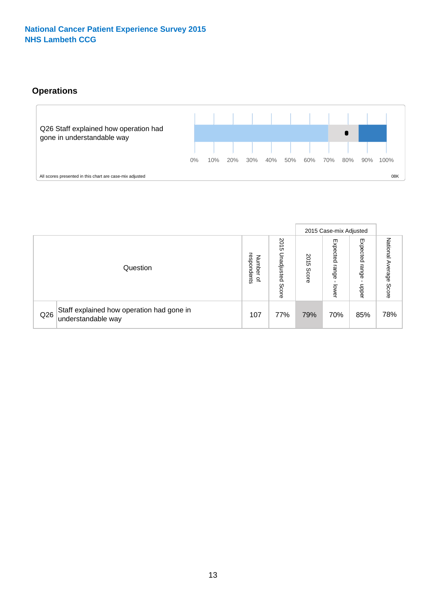#### **Operations**



|     |                                                                 |                                             |                             |               | 2015 Case-mix Adjusted            |                           |                              |
|-----|-----------------------------------------------------------------|---------------------------------------------|-----------------------------|---------------|-----------------------------------|---------------------------|------------------------------|
|     | Question                                                        | respondents<br>Numbe<br>≒<br>$\overline{a}$ | 2015<br>Unadjusted<br>Score | 2015<br>Score | Expected<br>range<br><b>Lower</b> | Expected<br>range<br>ddoe | National<br>Average<br>Score |
| Q26 | Staff explained how operation had gone in<br>understandable way | 107                                         | 77%                         | 79%           | 70%                               | 85%                       | 78%                          |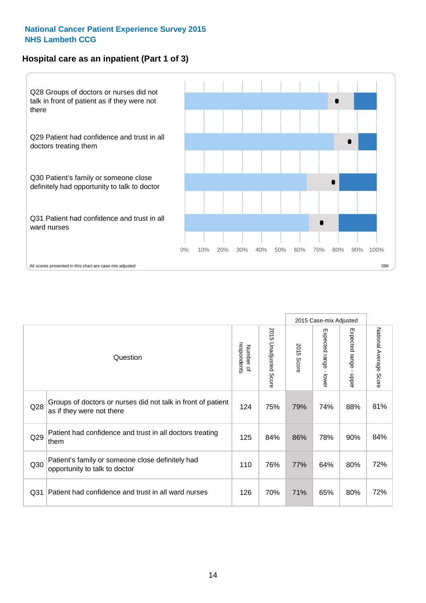#### **Hospital care as an inpatient (Part 1 of 3)**



All scores presented in this chart are case-mix adjusted  $08K$ 

|                 |                                                                                           |                          |                       |                      | 2015 Case-mix Adjusted                    |                                           |                        |
|-----------------|-------------------------------------------------------------------------------------------|--------------------------|-----------------------|----------------------|-------------------------------------------|-------------------------------------------|------------------------|
|                 | Question                                                                                  | respondents<br>Number of | 2015 Unadjusted Score | 2015<br><b>Score</b> | Expected range<br>$\blacksquare$<br>lower | Expected range<br>$\blacksquare$<br>nbber | National Average Score |
| Q28             | Groups of doctors or nurses did not talk in front of patient<br>as if they were not there | 124                      | 75%                   | 79%                  | 74%                                       | 88%                                       | 81%                    |
| Q29             | Patient had confidence and trust in all doctors treating<br>them                          | 125                      | 84%                   | 86%                  | 78%                                       | 90%                                       | 84%                    |
| Q30             | Patient's family or someone close definitely had<br>opportunity to talk to doctor         | 110                      | 76%                   | 77%                  | 64%                                       | 80%                                       | 72%                    |
| Q <sub>31</sub> | Patient had confidence and trust in all ward nurses                                       | 126                      | 70%                   | 71%                  | 65%                                       | 80%                                       | 72%                    |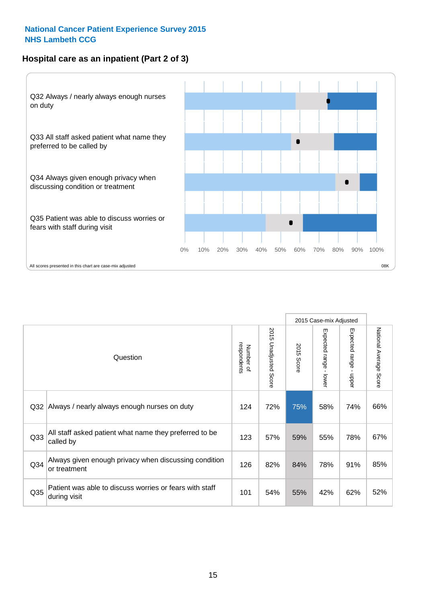#### **Hospital care as an inpatient (Part 2 of 3)**



|                 | Question                                                                | respondents<br>Number of | 2015 Unadjusted<br>Score | 2015<br>Score | 2015 Case-mix Adjusted<br>Expected range - lower | Expected range -<br>nbber | National Average<br>Score |
|-----------------|-------------------------------------------------------------------------|--------------------------|--------------------------|---------------|--------------------------------------------------|---------------------------|---------------------------|
| Q <sub>32</sub> | Always / nearly always enough nurses on duty                            | 124                      | 72%                      | 75%           | 58%                                              | 74%                       | 66%                       |
| Q33             | All staff asked patient what name they preferred to be<br>called by     | 123                      | 57%                      | 59%           | 55%                                              | 78%                       | 67%                       |
| Q34             | Always given enough privacy when discussing condition<br>or treatment   | 126                      | 82%                      | 84%           | 78%                                              | 91%                       | 85%                       |
| Q35             | Patient was able to discuss worries or fears with staff<br>during visit | 101                      | 54%                      | 55%           | 42%                                              | 62%                       | 52%                       |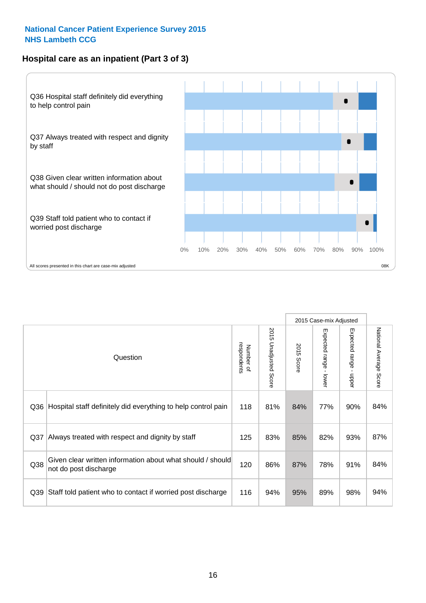#### **Hospital care as an inpatient (Part 3 of 3)**



|                 |                                                                                     |                          |                                 |               | 2015 Case-mix Adjusted  |                        |                        |
|-----------------|-------------------------------------------------------------------------------------|--------------------------|---------------------------------|---------------|-------------------------|------------------------|------------------------|
|                 | Question                                                                            | respondents<br>Number of | 2015<br><b>Unadjusted Score</b> | 2015<br>Score | Expected range<br>lower | Expected range - upper | National Average Score |
| Q36             | Hospital staff definitely did everything to help control pain                       | 118                      | 81%                             | 84%           | 77%                     | 90%                    | 84%                    |
| Q <sub>37</sub> | Always treated with respect and dignity by staff                                    | 125                      | 83%                             | 85%           | 82%                     | 93%                    | 87%                    |
| Q38             | Given clear written information about what should / should<br>not do post discharge | 120                      | 86%                             | 87%           | 78%                     | 91%                    | 84%                    |
| Q39             | Staff told patient who to contact if worried post discharge                         | 116                      | 94%                             | 95%           | 89%                     | 98%                    | 94%                    |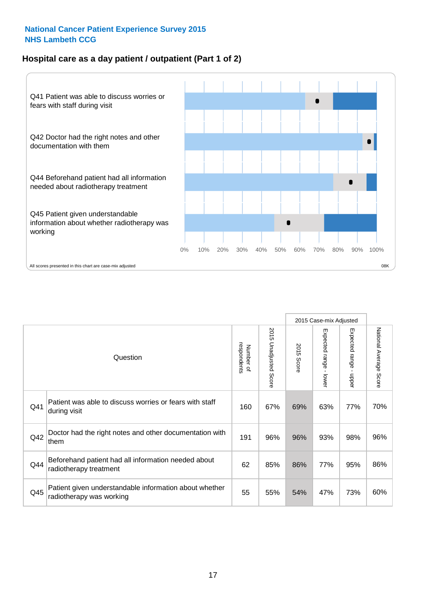#### **Hospital care as a day patient / outpatient (Part 1 of 2)**



|     |                                                                                    |                          |                                 |                      | 2015 Case-mix Adjusted                    |                                           |                        |
|-----|------------------------------------------------------------------------------------|--------------------------|---------------------------------|----------------------|-------------------------------------------|-------------------------------------------|------------------------|
|     | Question                                                                           | respondents<br>Number of | 2015<br><b>Unadjusted Score</b> | 2015<br><b>Score</b> | Expected range<br>$\blacksquare$<br>lower | Expected range<br>$\blacksquare$<br>nbber | National Average Score |
| Q41 | Patient was able to discuss worries or fears with staff<br>during visit            | 160                      | 67%                             | 69%                  | 63%                                       | 77%                                       | 70%                    |
| Q42 | Doctor had the right notes and other documentation with<br>them                    | 191                      | 96%                             | 96%                  | 93%                                       | 98%                                       | 96%                    |
| Q44 | Beforehand patient had all information needed about<br>radiotherapy treatment      | 62                       | 85%                             | 86%                  | 77%                                       | 95%                                       | 86%                    |
| Q45 | Patient given understandable information about whether<br>radiotherapy was working | 55                       | 55%                             | 54%                  | 47%                                       | 73%                                       | 60%                    |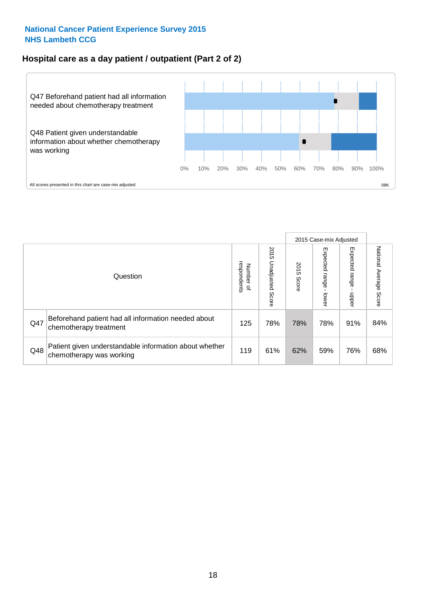#### **Hospital care as a day patient / outpatient (Part 2 of 2)**



|     |                                                                                    |                                       | 2015 Case-mix Adjusted      |               |                              |                         |                           |
|-----|------------------------------------------------------------------------------------|---------------------------------------|-----------------------------|---------------|------------------------------|-------------------------|---------------------------|
|     | Question                                                                           | respondents<br>Number<br>$\mathbf{Q}$ | 2015<br>Unadjusted<br>Score | 2015<br>Score | Expected<br>I range<br>lower | Expected range<br>nbber | National Average<br>Score |
| Q47 | Beforehand patient had all information needed about<br>chemotherapy treatment      | 125                                   | 78%                         | 78%           | 78%                          | 91%                     | 84%                       |
| Q48 | Patient given understandable information about whether<br>chemotherapy was working | 119                                   | 61%                         | 62%           | 59%                          | 76%                     | 68%                       |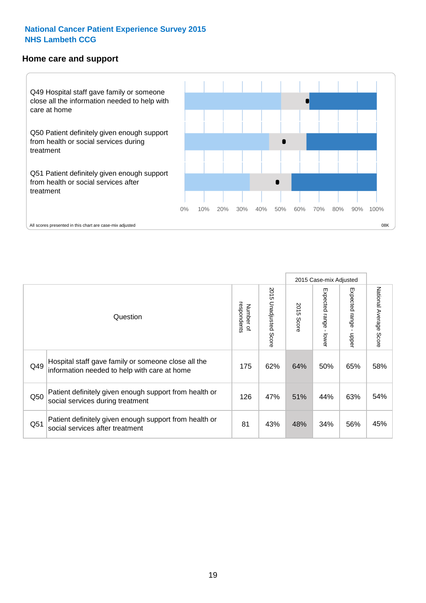#### **Home care and support**



2015 Case-mix Adjusted 2015 Unadjusted Score Expected range - upper National Average Score 2015 Unadjusted Score Expected range - lower National Average Score Expected range - lower Expected range - upper Number of<br>respondents 2015 Score respondents 2015 Score Number of Question Hospital staff gave family or someone close all the  $Q49$  information needed to help with care at home  $Q49$  62% 64% 50% 65% 58% Patient definitely given enough support from health or  $\frac{126}{\sqrt{126}}$  social services during treatment  $\frac{126}{\sqrt{126}}$   $\frac{47\%}{\sqrt{126}}$   $\frac{51\%}{\sqrt{126}}$   $\frac{44\%}{\sqrt{126}}$  63%  $\frac{54\%}{\sqrt{126}}$ Patient definitely given enough support from health or  $\frac{34}{100}$  social services after treatment  $\frac{34}{100}$  and  $\frac{34}{100}$  and  $\frac{45}{100}$  and  $\frac{45}{100}$  and  $\frac{45}{100}$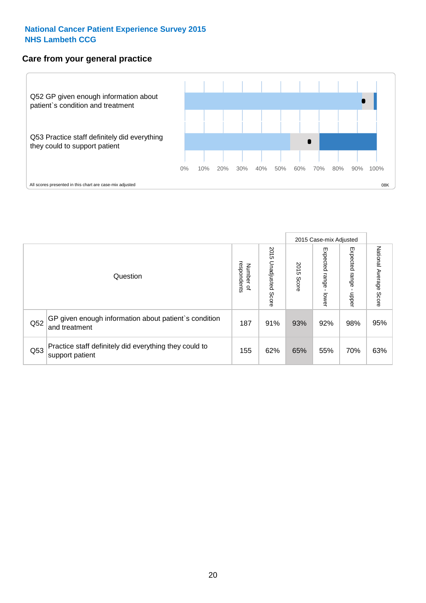#### **Care from your general practice**



|     |                                                                           |                                       |                             |               |                                   | 2015 Case-mix Adjusted     |                           |
|-----|---------------------------------------------------------------------------|---------------------------------------|-----------------------------|---------------|-----------------------------------|----------------------------|---------------------------|
|     | Question                                                                  | respondents<br>Number<br>$\mathbf{Q}$ | 2015<br>Unadjusted<br>Score | 2015<br>Score | Expected<br><b>Lange</b><br>lower | Expected<br>range<br>doper | National Average<br>Score |
| Q52 | GP given enough information about patient's condition<br>and treatment    | 187                                   | 91%                         | 93%           | 92%                               | 98%                        | 95%                       |
| Q53 | Practice staff definitely did everything they could to<br>support patient | 155                                   | 62%                         | 65%           | 55%                               | 70%                        | 63%                       |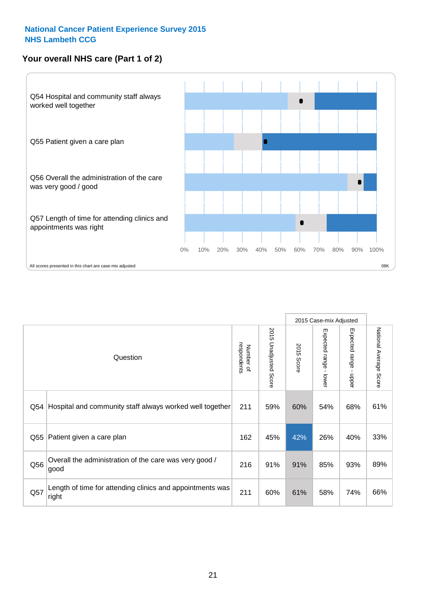#### **Your overall NHS care (Part 1 of 2)**



|     |                                                                    |                          | 2015 Case-mix Adjusted   |               |                                           |                                           |                        |
|-----|--------------------------------------------------------------------|--------------------------|--------------------------|---------------|-------------------------------------------|-------------------------------------------|------------------------|
|     | Question                                                           | respondents<br>Number of | 2015<br>Unadjusted Score | 2015<br>Score | Expected range<br>$\blacksquare$<br>lower | Expected range<br>$\blacksquare$<br>nbber | National Average Score |
| Q54 | Hospital and community staff always worked well together           | 211                      | 59%                      | 60%           | 54%                                       | 68%                                       | 61%                    |
| Q55 | Patient given a care plan                                          | 162                      | 45%                      | 42%           | 26%                                       | 40%                                       | 33%                    |
| Q56 | Overall the administration of the care was very good /<br>good     | 216                      | 91%                      | 91%           | 85%                                       | 93%                                       | 89%                    |
| Q57 | Length of time for attending clinics and appointments was<br>right | 211                      | 60%                      | 61%           | 58%                                       | 74%                                       | 66%                    |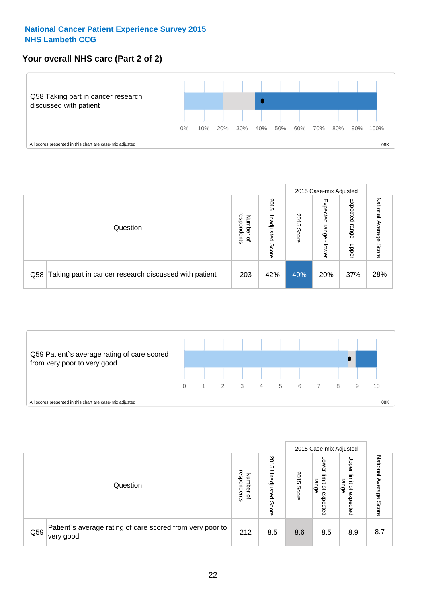#### **Your overall NHS care (Part 2 of 2)**



|     |                                                       |                                         |                             |               |                            | 2015 Case-mix Adjusted     |                        |
|-----|-------------------------------------------------------|-----------------------------------------|-----------------------------|---------------|----------------------------|----------------------------|------------------------|
|     | Question                                              | respondents<br>Number<br>$\overline{a}$ | 2015<br>Jnadjusted<br>Score | 2015<br>Score | Expected<br>range<br>lower | Expected<br>range<br>doper | National Average Score |
| Q58 | Taking part in cancer research discussed with patient | 203                                     | 42%                         | 40%           | 20%                        | 37%                        | 28%                    |



|     |                                                                        |                                              |                             |               |                                                           | 2015 Case-mix Adjusted                   |                              |
|-----|------------------------------------------------------------------------|----------------------------------------------|-----------------------------|---------------|-----------------------------------------------------------|------------------------------------------|------------------------------|
|     | Question                                                               | respondents<br>Number<br>$\overline{\sigma}$ | 2015<br>Jnadjusted<br>Score | 2015<br>Score | OWer<br>limit<br>range<br>$\overline{\sigma}$<br>expected | Upper<br>limit<br>range<br>õ<br>expected | National<br>Average<br>Score |
| Q59 | Patient's average rating of care scored from very poor to<br>very good | 212                                          | 8.5                         | 8.6           | 8.5                                                       | 8.9                                      | 8.7                          |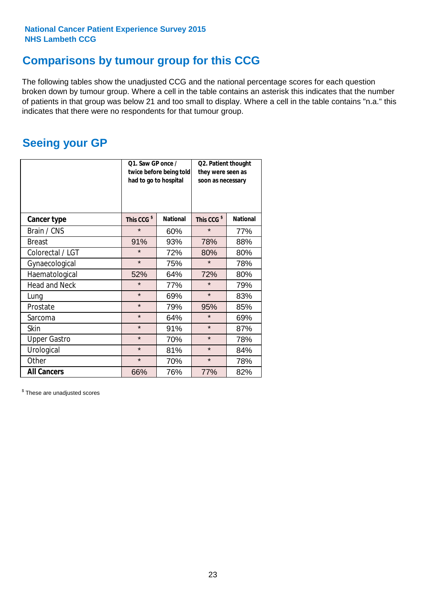### **Comparisons by tumour group for this CCG**

The following tables show the unadjusted CCG and the national percentage scores for each question broken down by tumour group. Where a cell in the table contains an asterisk this indicates that the number of patients in that group was below 21 and too small to display. Where a cell in the table contains "n.a." this indicates that there were no respondents for that tumour group.

### **Seeing your GP**

|                      | Q1. Saw GP once /<br>had to go to hospital | twice before being told | Q2. Patient thought<br>they were seen as<br>soon as necessary |                 |  |
|----------------------|--------------------------------------------|-------------------------|---------------------------------------------------------------|-----------------|--|
| <b>Cancer type</b>   | This CCG <sup>\$</sup>                     | <b>National</b>         | This CCG <sup>\$</sup>                                        | <b>National</b> |  |
| Brain / CNS          | $\star$                                    | 60%                     | $\star$                                                       | 77%             |  |
| <b>Breast</b>        | 91%                                        | 93%                     | 78%                                                           | 88%             |  |
| Colorectal / LGT     | $\star$                                    | 72%                     | 80%                                                           | 80%             |  |
| Gynaecological       | $\star$                                    | 75%                     | $\star$                                                       | 78%             |  |
| Haematological       | 52%                                        | 64%                     | 72%                                                           | 80%             |  |
| <b>Head and Neck</b> | $\star$                                    | 77%                     | $\star$                                                       | 79%             |  |
| Lung                 | $\star$                                    | 69%                     | $\star$                                                       | 83%             |  |
| Prostate             | $\star$                                    | 79%                     | 95%                                                           | 85%             |  |
| Sarcoma              | $\star$                                    | 64%                     | $\star$                                                       | 69%             |  |
| <b>Skin</b>          | $\star$                                    | 91%                     | $\star$                                                       | 87%             |  |
| <b>Upper Gastro</b>  | $\star$                                    | 70%                     | $\star$                                                       | 78%             |  |
| Urological           | $\star$                                    | 81%                     | $\star$                                                       | 84%             |  |
| Other                | $\star$                                    | 70%                     |                                                               | 78%             |  |
| <b>All Cancers</b>   | 66%                                        | 76%                     | 77%                                                           | 82%             |  |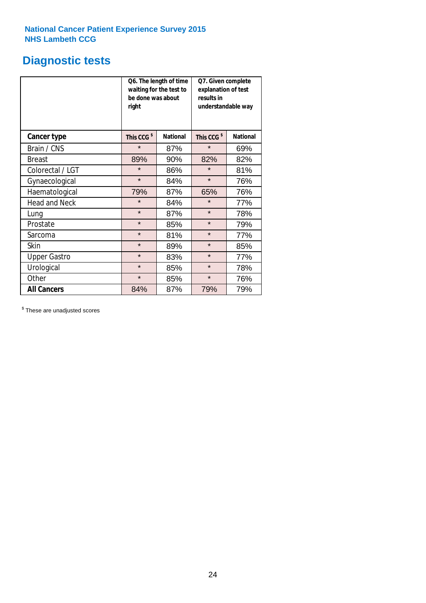### **Diagnostic tests**

|                      | be done was about<br>right | Q6. The length of time<br>waiting for the test to | Q7. Given complete<br>explanation of test<br>results in<br>understandable way |                 |  |
|----------------------|----------------------------|---------------------------------------------------|-------------------------------------------------------------------------------|-----------------|--|
| <b>Cancer type</b>   | This CCG <sup>\$</sup>     | <b>National</b>                                   | This CCG <sup>\$</sup>                                                        | <b>National</b> |  |
| Brain / CNS          | $\star$                    | 87%                                               | $\star$                                                                       | 69%             |  |
| <b>Breast</b>        | 89%                        | 90%                                               | 82%                                                                           | 82%             |  |
| Colorectal / LGT     | $\star$                    | 86%                                               | $\star$                                                                       | 81%             |  |
| Gynaecological       | $\star$                    | 84%                                               | $\star$                                                                       | 76%             |  |
| Haematological       | 79%                        | 87%                                               | 65%                                                                           | 76%             |  |
| <b>Head and Neck</b> | $\star$                    | 84%                                               | $\star$                                                                       | 77%             |  |
| Lung                 | $\star$                    | 87%                                               | $\star$                                                                       | 78%             |  |
| Prostate             | $\star$                    | 85%                                               | $\star$                                                                       | 79%             |  |
| Sarcoma              | $\star$                    | 81%                                               | $\star$                                                                       | 77%             |  |
| Skin                 | $\star$                    | 89%                                               | $\star$                                                                       | 85%             |  |
| <b>Upper Gastro</b>  | $\star$                    | 83%                                               | $\star$                                                                       | 77%             |  |
| Urological           | $\star$                    | 85%                                               | $\star$                                                                       | 78%             |  |
| Other                | $\star$                    | 85%                                               | $\star$                                                                       | 76%             |  |
| <b>All Cancers</b>   | 84%                        | 87%                                               | 79%                                                                           | 79%             |  |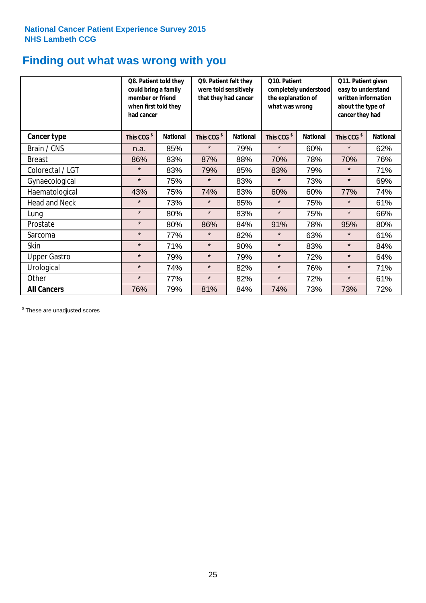### **Finding out what was wrong with you**

|                      | Q8. Patient told they<br>could bring a family<br>member or friend<br>when first told they<br>had cancer |                 | Q9. Patient felt they<br>were told sensitively<br>that they had cancer |                 | Q10. Patient<br>completely understood<br>the explanation of<br>what was wrong |                 | Q11. Patient given<br>easy to understand<br>written information<br>about the type of<br>cancer they had |                 |
|----------------------|---------------------------------------------------------------------------------------------------------|-----------------|------------------------------------------------------------------------|-----------------|-------------------------------------------------------------------------------|-----------------|---------------------------------------------------------------------------------------------------------|-----------------|
| Cancer type          | This CCG <sup>\$</sup>                                                                                  | <b>National</b> | This CCG <sup>\$</sup>                                                 | <b>National</b> | This CCG <sup>\$</sup>                                                        | <b>National</b> | This CCG <sup>\$</sup>                                                                                  | <b>National</b> |
| Brain / CNS          | n.a.                                                                                                    | 85%             | $\star$                                                                | 79%             | $\star$                                                                       | 60%             | $\star$                                                                                                 | 62%             |
| <b>Breast</b>        | 86%                                                                                                     | 83%             | 87%                                                                    | 88%             | 70%                                                                           | 78%             | 70%                                                                                                     | 76%             |
| Colorectal / LGT     | $\star$                                                                                                 | 83%             | 79%                                                                    | 85%             | 83%                                                                           | 79%             | $\star$                                                                                                 | 71%             |
| Gynaecological       | $\star$                                                                                                 | 75%             | $\star$                                                                | 83%             | $\star$                                                                       | 73%             | $\star$                                                                                                 | 69%             |
| Haematological       | 43%                                                                                                     | 75%             | 74%                                                                    | 83%             | 60%                                                                           | 60%             | 77%                                                                                                     | 74%             |
| <b>Head and Neck</b> | $\star$                                                                                                 | 73%             | $\star$                                                                | 85%             | $\star$                                                                       | 75%             | $\star$                                                                                                 | 61%             |
| Lung                 | $\star$                                                                                                 | 80%             | $\star$                                                                | 83%             | $\star$                                                                       | 75%             | $\star$                                                                                                 | 66%             |
| Prostate             | $\star$                                                                                                 | 80%             | 86%                                                                    | 84%             | 91%                                                                           | 78%             | 95%                                                                                                     | 80%             |
| Sarcoma              | $\star$                                                                                                 | 77%             | $\star$                                                                | 82%             | $\star$                                                                       | 63%             | $\star$                                                                                                 | 61%             |
| Skin                 | $\star$                                                                                                 | 71%             | $\star$                                                                | 90%             | $\star$                                                                       | 83%             | $\star$                                                                                                 | 84%             |
| <b>Upper Gastro</b>  | $\star$                                                                                                 | 79%             | $\star$                                                                | 79%             | $\star$                                                                       | 72%             | $\star$                                                                                                 | 64%             |
| Urological           | $\star$                                                                                                 | 74%             | $\star$                                                                | 82%             | $\star$                                                                       | 76%             | $\star$                                                                                                 | 71%             |
| Other                | $\star$                                                                                                 | 77%             | $\star$                                                                | 82%             | $\star$                                                                       | 72%             | $\star$                                                                                                 | 61%             |
| <b>All Cancers</b>   | 76%                                                                                                     | 79%             | 81%                                                                    | 84%             | 74%                                                                           | 73%             | 73%                                                                                                     | 72%             |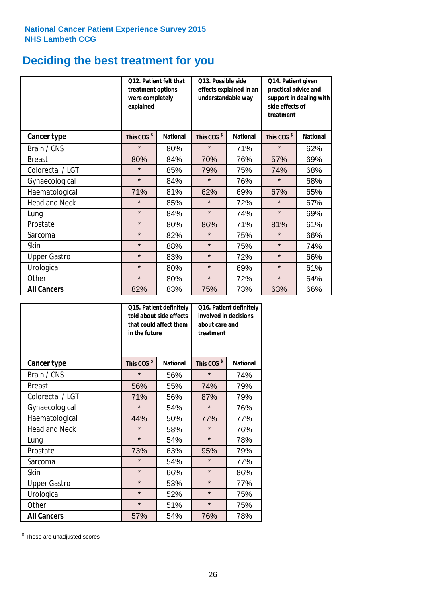# **Deciding the best treatment for you**

|                      | treatment options<br>were completely<br>explained | Q12. Patient felt that | Q13. Possible side<br>understandable way | effects explained in an | Q14. Patient given<br>practical advice and<br>support in dealing with<br>side effects of<br>treatment |                 |  |
|----------------------|---------------------------------------------------|------------------------|------------------------------------------|-------------------------|-------------------------------------------------------------------------------------------------------|-----------------|--|
| <b>Cancer type</b>   | This CCG <sup>\$</sup>                            | <b>National</b>        | This CCG <sup>\$</sup>                   | <b>National</b>         | This CCG <sup>\$</sup>                                                                                | <b>National</b> |  |
| Brain / CNS          | $\star$                                           | 80%                    | $\star$                                  | 71%                     | $\star$                                                                                               | 62%             |  |
| <b>Breast</b>        | 80%                                               | 84%                    | 70%                                      | 76%                     | 57%                                                                                                   | 69%             |  |
| Colorectal / LGT     | $\star$                                           | 85%                    | 79%                                      | 75%                     | 74%                                                                                                   | 68%             |  |
| Gynaecological       | $\star$                                           | 84%                    | $\star$                                  | 76%                     | $\star$                                                                                               | 68%             |  |
| Haematological       | 71%                                               | 81%                    | 62%                                      | 69%                     | 67%                                                                                                   | 65%             |  |
| <b>Head and Neck</b> | $\star$                                           | 85%                    | $\star$                                  | 72%                     | $\star$                                                                                               | 67%             |  |
| Lung                 | $\star$                                           | 84%                    | $\star$                                  | 74%                     | $\star$                                                                                               | 69%             |  |
| Prostate             | $\star$                                           | 80%                    | 86%                                      | 71%                     | 81%                                                                                                   | 61%             |  |
| Sarcoma              | $\star$                                           | 82%                    | $\star$                                  | 75%                     | $\star$                                                                                               | 66%             |  |
| Skin                 | $\star$                                           | 88%                    | $\star$                                  | 75%                     | $\star$                                                                                               | 74%             |  |
| <b>Upper Gastro</b>  | $\star$                                           | 83%                    | $\star$                                  | 72%                     | $\star$                                                                                               | 66%             |  |
| Urological           | $\star$                                           | 80%                    | $\star$                                  | 69%                     | $\star$                                                                                               | 61%             |  |
| Other                | $\star$                                           | 80%                    | $\star$                                  | 72%                     | $\star$                                                                                               | 64%             |  |
| <b>All Cancers</b>   | 82%                                               | 83%                    | 75%                                      | 73%                     | 63%                                                                                                   | 66%             |  |

|                      | in the future          | Q15. Patient definitely<br>told about side effects<br>that could affect them | Q16. Patient definitely<br>involved in decisions<br>about care and<br>treatment |                 |  |
|----------------------|------------------------|------------------------------------------------------------------------------|---------------------------------------------------------------------------------|-----------------|--|
| <b>Cancer type</b>   | This CCG <sup>\$</sup> | <b>National</b>                                                              | This CCG <sup>\$</sup>                                                          | <b>National</b> |  |
| Brain / CNS          | $\star$                | 56%                                                                          | $\star$                                                                         | 74%             |  |
| <b>Breast</b>        | 56%                    | 55%                                                                          | 74%                                                                             | 79%             |  |
| Colorectal / LGT     | 71%                    | 56%                                                                          | 87%                                                                             | 79%             |  |
| Gynaecological       | $\star$<br>54%         |                                                                              | $\star$                                                                         | 76%             |  |
| Haematological       | 44%<br>50%             |                                                                              | 77%                                                                             | 77%             |  |
| <b>Head and Neck</b> | $\star$                | 58%                                                                          | $\star$                                                                         | 76%             |  |
| Lung                 | $\star$                | 54%                                                                          | $\star$                                                                         | 78%             |  |
| Prostate             | 73%                    | 63%                                                                          | 95%                                                                             | 79%             |  |
| Sarcoma              | $\star$                | 54%                                                                          | $\star$                                                                         | 77%             |  |
| Skin                 | $\star$                | 66%                                                                          | $\star$                                                                         | 86%             |  |
| <b>Upper Gastro</b>  | $\star$                | 53%                                                                          | $\star$                                                                         | 77%             |  |
| Urological           | $\star$                | 52%                                                                          | $\star$                                                                         | 75%             |  |
| Other                | $\star$                | 51%                                                                          | $\star$                                                                         | 75%             |  |
| <b>All Cancers</b>   | 57%                    | 54%                                                                          | 76%                                                                             | 78%             |  |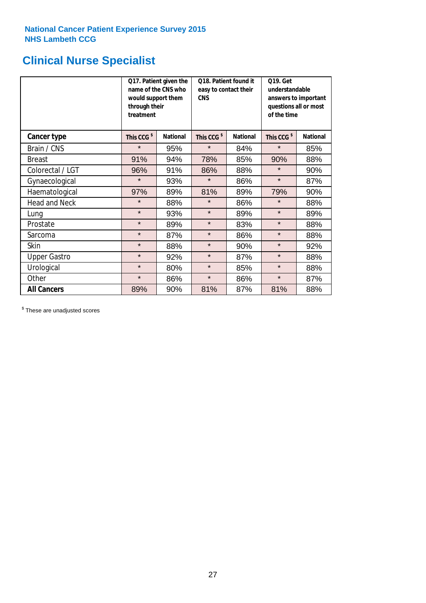### **Clinical Nurse Specialist**

|                      | would support them<br>through their<br>treatment | Q17. Patient given the<br>name of the CNS who | Q18. Patient found it<br>easy to contact their<br><b>CNS</b> |                 | <b>Q19. Get</b><br>understandable<br>answers to important<br>questions all or most<br>of the time |                 |  |
|----------------------|--------------------------------------------------|-----------------------------------------------|--------------------------------------------------------------|-----------------|---------------------------------------------------------------------------------------------------|-----------------|--|
| <b>Cancer type</b>   | This CCG <sup>\$</sup>                           | <b>National</b>                               | This CCG <sup>\$</sup>                                       | <b>National</b> | This CCG <sup>\$</sup>                                                                            | <b>National</b> |  |
| Brain / CNS          | $\star$                                          | 95%                                           | $\star$                                                      | 84%             | $\star$                                                                                           | 85%             |  |
| <b>Breast</b>        | 91%                                              | 94%                                           | 78%                                                          | 85%             | 90%                                                                                               | 88%             |  |
| Colorectal / LGT     | 96%                                              | 91%                                           | 86%                                                          | 88%             | $\star$                                                                                           | 90%             |  |
| Gynaecological       | $\star$                                          | 93%                                           | $\star$                                                      | 86%             | $\star$                                                                                           | 87%             |  |
| Haematological       | 97%                                              | 89%                                           | 81%                                                          | 89%             | 79%                                                                                               | 90%             |  |
| <b>Head and Neck</b> | $\star$                                          | 88%                                           | $\star$                                                      | 86%             | $\star$                                                                                           | 88%             |  |
| Lung                 | $\star$                                          | 93%                                           | $\star$                                                      | 89%             | $\star$                                                                                           | 89%             |  |
| Prostate             | $\star$                                          | 89%                                           | $\star$                                                      | 83%             | $\star$                                                                                           | 88%             |  |
| Sarcoma              | $\star$                                          | 87%                                           | $\star$                                                      | 86%             | $\star$                                                                                           | 88%             |  |
| Skin                 | $\star$                                          | 88%                                           | $\star$                                                      | 90%             | $\star$                                                                                           | 92%             |  |
| <b>Upper Gastro</b>  | $\star$                                          | 92%                                           | $\star$                                                      | 87%             | $\star$                                                                                           | 88%             |  |
| Urological           | $\star$                                          | 80%                                           | $\star$                                                      | 85%             | $\star$                                                                                           | 88%             |  |
| Other                | $\star$                                          | 86%                                           | $\star$                                                      | 86%             | $\star$                                                                                           | 87%             |  |
| <b>All Cancers</b>   | 89%                                              | 90%                                           | 81%                                                          | 87%             | 81%                                                                                               | 88%             |  |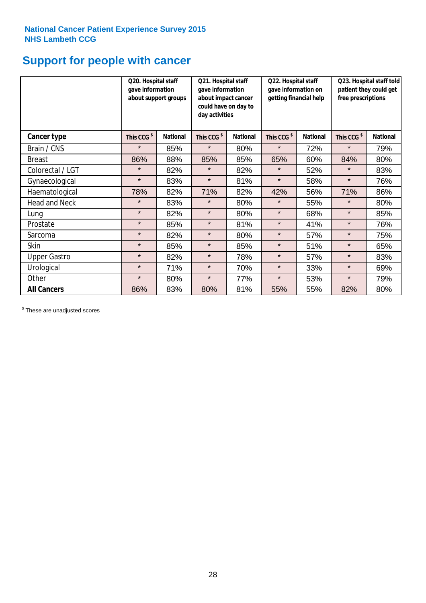### **Support for people with cancer**

|                      | Q20. Hospital staff<br>gave information | about support groups | Q21. Hospital staff<br>gave information<br>about impact cancer<br>could have on day to<br>day activities |                 | Q22. Hospital staff<br>gave information on<br>getting financial help |                 | Q23. Hospital staff told<br>patient they could get<br>free prescriptions |                 |
|----------------------|-----------------------------------------|----------------------|----------------------------------------------------------------------------------------------------------|-----------------|----------------------------------------------------------------------|-----------------|--------------------------------------------------------------------------|-----------------|
| Cancer type          | This CCG <sup>\$</sup>                  | <b>National</b>      | This CCG <sup>\$</sup>                                                                                   | <b>National</b> | This CCG <sup>\$</sup>                                               | <b>National</b> | This CCG <sup>\$</sup>                                                   | <b>National</b> |
| Brain / CNS          | $\star$                                 | 85%                  | $\star$                                                                                                  | 80%             | $\star$                                                              | 72%             | $\star$                                                                  | 79%             |
| <b>Breast</b>        | 86%                                     | 88%                  | 85%                                                                                                      | 85%             | 65%                                                                  | 60%             | 84%                                                                      | 80%             |
| Colorectal / LGT     | $\star$                                 | 82%                  | $\star$                                                                                                  | 82%             | $\star$                                                              | 52%             | $\star$                                                                  | 83%             |
| Gynaecological       | $\star$                                 | 83%                  | $\star$                                                                                                  | 81%             | $\star$                                                              | 58%             | $\star$                                                                  | 76%             |
| Haematological       | 78%                                     | 82%                  | 71%                                                                                                      | 82%             | 42%                                                                  | 56%             | 71%                                                                      | 86%             |
| <b>Head and Neck</b> | $\star$                                 | 83%                  | $\star$                                                                                                  | 80%             | $\star$                                                              | 55%             | $\star$                                                                  | 80%             |
| Lung                 | $\star$                                 | 82%                  | $\star$                                                                                                  | 80%             | $\star$                                                              | 68%             | $\star$                                                                  | 85%             |
| Prostate             | $\star$                                 | 85%                  | $\star$                                                                                                  | 81%             | $\star$                                                              | 41%             | $\star$                                                                  | 76%             |
| Sarcoma              | $\star$                                 | 82%                  | $\star$                                                                                                  | 80%             | $\star$                                                              | 57%             | $\star$                                                                  | 75%             |
| Skin                 | $\star$                                 | 85%                  | $\star$                                                                                                  | 85%             | $\star$                                                              | 51%             | $\star$                                                                  | 65%             |
| <b>Upper Gastro</b>  | $\star$                                 | 82%                  | $\star$                                                                                                  | 78%             | $\star$                                                              | 57%             | $\star$                                                                  | 83%             |
| Urological           | $\star$                                 | 71%                  | $\star$                                                                                                  | 70%             | $\star$                                                              | 33%             | $\star$                                                                  | 69%             |
| Other                | $\star$                                 | 80%                  | $\star$                                                                                                  | 77%             | $\star$                                                              | 53%             | $\star$                                                                  | 79%             |
| <b>All Cancers</b>   | 86%                                     | 83%                  | 80%                                                                                                      | 81%             | 55%                                                                  | 55%             | 82%                                                                      | 80%             |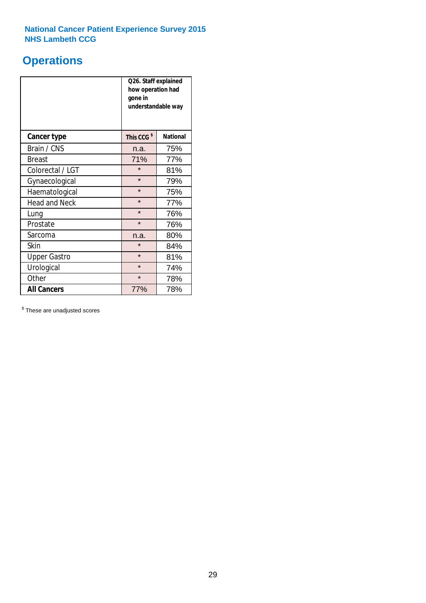### **Operations**

|                      | Q26. Staff explained<br>how operation had<br>gone in<br>understandable way |                 |  |  |
|----------------------|----------------------------------------------------------------------------|-----------------|--|--|
| <b>Cancer type</b>   | This CCG <sup>\$</sup>                                                     | <b>National</b> |  |  |
| Brain / CNS          | n.a.                                                                       | 75%             |  |  |
| <b>Breast</b>        | 71%                                                                        | 77%             |  |  |
| Colorectal / LGT     | $\star$                                                                    | 81%             |  |  |
| Gynaecological       | $\star$                                                                    | 79%             |  |  |
| Haematological       | $\star$                                                                    | 75%             |  |  |
| <b>Head and Neck</b> | $\star$                                                                    | 77%             |  |  |
| Lung                 | $\star$                                                                    | 76%             |  |  |
| Prostate             | $\star$                                                                    | 76%             |  |  |
| Sarcoma              | n.a.                                                                       | 80%             |  |  |
| Skin                 | $\star$                                                                    | 84%             |  |  |
| <b>Upper Gastro</b>  | $\star$                                                                    | 81%             |  |  |
| Urological           | $\star$                                                                    | 74%             |  |  |
| Other                | $\star$<br>78%                                                             |                 |  |  |
| <b>All Cancers</b>   | 77%                                                                        | 78%             |  |  |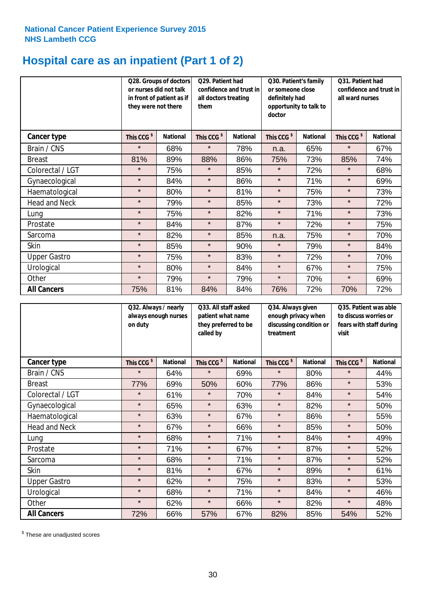# **Hospital care as an inpatient (Part 1 of 2)**

|                      | they were not there    | Q28. Groups of doctors<br>or nurses did not talk<br>in front of patient as if | Q29. Patient had<br>confidence and trust in<br>all doctors treating<br>them |                 | Q30. Patient's family<br>or someone close<br>definitely had<br>opportunity to talk to<br>doctor |                 | Q31. Patient had<br>confidence and trust in I<br>all ward nurses |                 |
|----------------------|------------------------|-------------------------------------------------------------------------------|-----------------------------------------------------------------------------|-----------------|-------------------------------------------------------------------------------------------------|-----------------|------------------------------------------------------------------|-----------------|
| Cancer type          | This CCG <sup>\$</sup> | <b>National</b>                                                               | This CCG <sup>\$</sup>                                                      | <b>National</b> | This CCG <sup>\$</sup>                                                                          | <b>National</b> | This CCG <sup>\$</sup>                                           | <b>National</b> |
| Brain / CNS          | $\star$                | 68%                                                                           | $\star$                                                                     | 78%             | n.a.                                                                                            | 65%             | $\star$                                                          | 67%             |
| <b>Breast</b>        | 81%                    | 89%                                                                           | 88%                                                                         | 86%             | 75%                                                                                             | 73%             | 85%                                                              | 74%             |
| Colorectal / LGT     | $\star$                | 75%                                                                           | $\star$                                                                     | 85%             | $\star$                                                                                         | 72%             | $\star$                                                          | 68%             |
| Gynaecological       | $\star$                | 84%                                                                           | $\star$                                                                     | 86%             | $\star$                                                                                         | 71%             | $\star$                                                          | 69%             |
| Haematological       | $\star$                | 80%                                                                           | $\star$                                                                     | 81%             | $\star$                                                                                         | 75%             | $\star$                                                          | 73%             |
| <b>Head and Neck</b> | $\star$                | 79%                                                                           | $\star$                                                                     | 85%             | $\star$                                                                                         | 73%             | $\star$                                                          | 72%             |
| Lung                 | $\star$                | 75%                                                                           | $\star$                                                                     | 82%             | $\star$                                                                                         | 71%             | $\star$                                                          | 73%             |
| Prostate             | $\star$                | 84%                                                                           | $\star$                                                                     | 87%             | $\star$                                                                                         | 72%             | $\star$                                                          | 75%             |
| Sarcoma              | $\star$                | 82%                                                                           | $\star$                                                                     | 85%             | n.a.                                                                                            | 75%             | $\star$                                                          | 70%             |
| Skin                 | $\star$                | 85%                                                                           | $\star$                                                                     | 90%             | $\star$                                                                                         | 79%             | $\star$                                                          | 84%             |
| <b>Upper Gastro</b>  | $\star$                | 75%                                                                           | $\star$                                                                     | 83%             | $\star$                                                                                         | 72%             | $\star$                                                          | 70%             |
| Urological           | $\star$                | 80%                                                                           | $\star$                                                                     | 84%             | $\star$                                                                                         | 67%             | $\star$                                                          | 75%             |
| Other                | $\star$                | 79%                                                                           | $\star$                                                                     | 79%             | $\star$                                                                                         | 70%             | $\star$                                                          | 69%             |
| <b>All Cancers</b>   | 75%                    | 81%                                                                           | 84%                                                                         | 84%             | 76%                                                                                             | 72%             | 70%                                                              | 72%             |

|                      | Q32. Always / nearly<br>on duty | always enough nurses | Q33. All staff asked<br>patient what name<br>they preferred to be<br>called by |                 | Q34. Always given<br>enough privacy when<br>discussing condition or<br>treatment |                 | Q35. Patient was able<br>to discuss worries or<br>fears with staff during<br>visit |                 |
|----------------------|---------------------------------|----------------------|--------------------------------------------------------------------------------|-----------------|----------------------------------------------------------------------------------|-----------------|------------------------------------------------------------------------------------|-----------------|
| <b>Cancer type</b>   | This CCG <sup>\$</sup>          | <b>National</b>      | This CCG <sup>\$</sup>                                                         | <b>National</b> | This CCG <sup>\$</sup>                                                           | <b>National</b> | This CCG <sup>\$</sup>                                                             | <b>National</b> |
| Brain / CNS          | $\star$                         | 64%                  | $\star$                                                                        | 69%             | $\star$                                                                          | 80%             | $\star$                                                                            | 44%             |
| <b>Breast</b>        | 77%                             | 69%                  | 50%                                                                            | 60%             | 77%                                                                              | 86%             | $\star$                                                                            | 53%             |
| Colorectal / LGT     | $\star$                         | 61%                  | $\star$                                                                        | 70%             | $\star$                                                                          | 84%             | $\star$                                                                            | 54%             |
| Gynaecological       | $\star$                         | 65%                  | $\star$                                                                        | 63%             | $\star$                                                                          | 82%             | $\star$                                                                            | 50%             |
| Haematological       | $\star$                         | 63%                  | $\star$                                                                        | 67%             | $\star$                                                                          | 86%             | $\star$                                                                            | 55%             |
| <b>Head and Neck</b> | $\star$                         | 67%                  | $\star$                                                                        | 66%             | $\star$                                                                          | 85%             | $\star$                                                                            | 50%             |
| Lung                 | $\star$                         | 68%                  | $\star$                                                                        | 71%             | $\star$                                                                          | 84%             | $\star$                                                                            | 49%             |
| Prostate             | $\star$                         | 71%                  | $\star$                                                                        | 67%             | $\star$                                                                          | 87%             | $\star$                                                                            | 52%             |
| Sarcoma              | $\star$                         | 68%                  | $\star$                                                                        | 71%             | $\star$                                                                          | 87%             | $\star$                                                                            | 52%             |
| Skin                 | $\star$                         | 81%                  | $\star$                                                                        | 67%             | $\star$                                                                          | 89%             | $\star$                                                                            | 61%             |
| <b>Upper Gastro</b>  | $\star$                         | 62%                  | $\star$                                                                        | 75%             | $\star$                                                                          | 83%             | $\star$                                                                            | 53%             |
| Urological           | $\star$                         | 68%                  | $\star$                                                                        | 71%             | $\star$                                                                          | 84%             | $\star$                                                                            | 46%             |
| Other                | $\star$                         | 62%                  | $\star$                                                                        | 66%             | $\star$                                                                          | 82%             | $\star$                                                                            | 48%             |
| <b>All Cancers</b>   | 72%                             | 66%                  | 57%                                                                            | 67%             | 82%                                                                              | 85%             | 54%                                                                                | 52%             |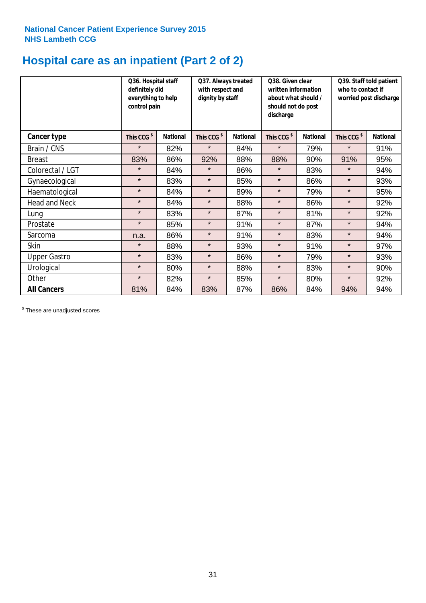# **Hospital care as an inpatient (Part 2 of 2)**

|                      | Q36. Hospital staff<br>definitely did<br>everything to help<br>control pain |                 | Q37. Always treated<br>with respect and<br>dignity by staff |                 | Q38. Given clear<br>written information<br>about what should /<br>should not do post<br>discharge |                 | Q39. Staff told patient<br>who to contact if<br>worried post discharge |                 |
|----------------------|-----------------------------------------------------------------------------|-----------------|-------------------------------------------------------------|-----------------|---------------------------------------------------------------------------------------------------|-----------------|------------------------------------------------------------------------|-----------------|
| Cancer type          | This CCG <sup>\$</sup>                                                      | <b>National</b> | This CCG <sup>\$</sup>                                      | <b>National</b> | This CCG <sup>\$</sup>                                                                            | <b>National</b> | This CCG <sup>\$</sup>                                                 | <b>National</b> |
| Brain / CNS          | $\star$                                                                     | 82%             | $\star$                                                     | 84%             | $\star$                                                                                           | 79%             | $\star$                                                                | 91%             |
| <b>Breast</b>        | 83%                                                                         | 86%             | 92%                                                         | 88%             | 88%                                                                                               | 90%             | 91%                                                                    | 95%             |
| Colorectal / LGT     | $\star$                                                                     | 84%             | $\star$                                                     | 86%             | $\star$                                                                                           | 83%             | $\star$                                                                | 94%             |
| Gynaecological       | $\star$                                                                     | 83%             | $\star$                                                     | 85%             | $\star$                                                                                           | 86%             | $\star$                                                                | 93%             |
| Haematological       | $\star$                                                                     | 84%             | $\star$                                                     | 89%             | $\star$                                                                                           | 79%             | $\star$                                                                | 95%             |
| <b>Head and Neck</b> | $\star$                                                                     | 84%             | $\star$                                                     | 88%             | $\star$                                                                                           | 86%             | $\star$                                                                | 92%             |
| Lung                 | $\star$                                                                     | 83%             | $\star$                                                     | 87%             | $\star$                                                                                           | 81%             | $\star$                                                                | 92%             |
| Prostate             | $\star$                                                                     | 85%             | $\star$                                                     | 91%             | $\star$                                                                                           | 87%             | $\star$                                                                | 94%             |
| Sarcoma              | n.a.                                                                        | 86%             | $\star$                                                     | 91%             | $\star$                                                                                           | 83%             | $\star$                                                                | 94%             |
| Skin                 | $\star$                                                                     | 88%             | $\star$                                                     | 93%             | $\star$                                                                                           | 91%             | $\star$                                                                | 97%             |
| <b>Upper Gastro</b>  | $\star$                                                                     | 83%             | $\star$                                                     | 86%             | $\star$                                                                                           | 79%             | $\star$                                                                | 93%             |
| Urological           | $\star$                                                                     | 80%             | $\star$                                                     | 88%             | $\star$                                                                                           | 83%             | $\star$                                                                | 90%             |
| Other                | $\star$                                                                     | 82%             | $\star$                                                     | 85%             | $\star$                                                                                           | 80%             | $\star$                                                                | 92%             |
| <b>All Cancers</b>   | 81%                                                                         | 84%             | 83%                                                         | 87%             | 86%                                                                                               | 84%             | 94%                                                                    | 94%             |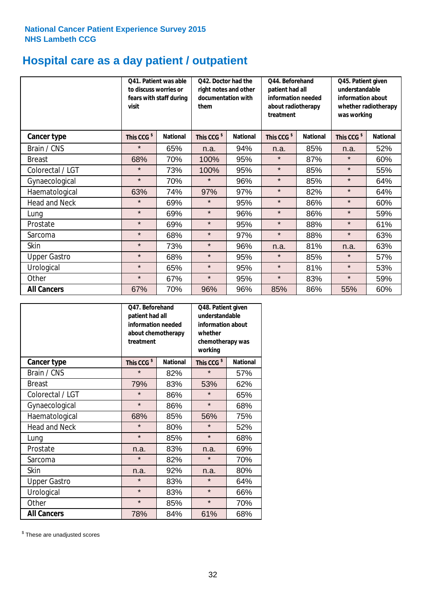# **Hospital care as a day patient / outpatient**

|                      | to discuss worries or<br>visit | Q41. Patient was able<br>fears with staff during | Q42. Doctor had the<br>right notes and other<br>documentation with<br>them |                 | Q44. Beforehand<br>patient had all<br>information needed<br>about radiotherapy<br>treatment |                 | Q45. Patient given<br>understandable<br>information about<br>whether radiotherapy<br>was working |                 |
|----------------------|--------------------------------|--------------------------------------------------|----------------------------------------------------------------------------|-----------------|---------------------------------------------------------------------------------------------|-----------------|--------------------------------------------------------------------------------------------------|-----------------|
| <b>Cancer type</b>   | This CCG <sup>\$</sup>         | <b>National</b>                                  | This CCG <sup>\$</sup>                                                     | <b>National</b> | This CCG <sup>\$</sup>                                                                      | <b>National</b> | This CCG <sup>\$</sup>                                                                           | <b>National</b> |
| Brain / CNS          | $\star$                        | 65%                                              | n.a.                                                                       | 94%             | n.a.                                                                                        | 85%             | n.a.                                                                                             | 52%             |
| <b>Breast</b>        | 68%                            | 70%                                              | 100%                                                                       | 95%             | $\star$                                                                                     | 87%             | $\star$                                                                                          | 60%             |
| Colorectal / LGT     | $\star$                        | 73%                                              | 100%                                                                       | 95%             | $\star$                                                                                     | 85%             | $\star$                                                                                          | 55%             |
| Gynaecological       | $\star$                        | 70%                                              | $\star$                                                                    | 96%             | $\star$                                                                                     | 85%             | $\star$                                                                                          | 64%             |
| Haematological       | 63%                            | 74%                                              | 97%                                                                        | 97%             | $\star$                                                                                     | 82%             | $\star$                                                                                          | 64%             |
| <b>Head and Neck</b> | $\star$                        | 69%                                              | $\star$                                                                    | 95%             | $\star$                                                                                     | 86%             | $\star$                                                                                          | 60%             |
| Lung                 | $\star$                        | 69%                                              | $\star$                                                                    | 96%             | $\star$                                                                                     | 86%             | $\star$                                                                                          | 59%             |
| Prostate             | $\star$                        | 69%                                              | $\star$                                                                    | 95%             | $\star$                                                                                     | 88%             | $\star$                                                                                          | 61%             |
| Sarcoma              | $\star$                        | 68%                                              | $\star$                                                                    | 97%             | $\star$                                                                                     | 88%             | $\star$                                                                                          | 63%             |
| Skin                 | $\star$                        | 73%                                              | $\star$                                                                    | 96%             | n.a.                                                                                        | 81%             | n.a.                                                                                             | 63%             |
| <b>Upper Gastro</b>  | $\star$                        | 68%                                              | $\star$                                                                    | 95%             | $\star$                                                                                     | 85%             | $\star$                                                                                          | 57%             |
| Urological           | $\star$                        | 65%                                              | $\star$                                                                    | 95%             | $\star$                                                                                     | 81%             | $\star$                                                                                          | 53%             |
| Other                | $\star$                        | 67%                                              | $\star$                                                                    | 95%             | $\star$                                                                                     | 83%             | $\star$                                                                                          | 59%             |
| <b>All Cancers</b>   | 67%                            | 70%                                              | 96%                                                                        | 96%             | 85%                                                                                         | 86%             | 55%                                                                                              | 60%             |

|                      | O47. Beforehand<br>patient had all<br>information needed<br>about chemotherapy<br>whether<br>treatment<br>working |                 |                        | Q48. Patient given<br>understandable<br>information about<br>chemotherapy was |  |  |
|----------------------|-------------------------------------------------------------------------------------------------------------------|-----------------|------------------------|-------------------------------------------------------------------------------|--|--|
| <b>Cancer type</b>   | This CCG <sup>\$</sup>                                                                                            | <b>National</b> | This CCG <sup>\$</sup> | <b>National</b>                                                               |  |  |
| Brain / CNS          | $\star$                                                                                                           | 82%             | $\star$                | 57%                                                                           |  |  |
| <b>Breast</b>        | 79%                                                                                                               | 83%             | 53%                    | 62%                                                                           |  |  |
| Colorectal / LGT     | $\star$                                                                                                           | 86%             | $\star$                | 65%                                                                           |  |  |
| Gynaecological       | $\star$                                                                                                           | 86%             | $\star$                | 68%                                                                           |  |  |
| Haematological       | 68%                                                                                                               | 85%             | 56%                    | 75%                                                                           |  |  |
| <b>Head and Neck</b> | $\star$                                                                                                           | 80%             | $\star$                | 52%                                                                           |  |  |
| Lung                 | $\star$                                                                                                           | 85%             | $\star$                | 68%                                                                           |  |  |
| Prostate             | n.a.                                                                                                              | 83%             | n.a.                   | 69%                                                                           |  |  |
| Sarcoma              | $\star$                                                                                                           | 82%             | $\star$                | 70%                                                                           |  |  |
| Skin                 | n.a.                                                                                                              | 92%             | n.a.                   | 80%                                                                           |  |  |
| <b>Upper Gastro</b>  | $\star$                                                                                                           | 83%             | $\star$                | 64%                                                                           |  |  |
| Urological           | $\star$                                                                                                           | 83%             | $\star$                | 66%                                                                           |  |  |
| Other                | $\star$                                                                                                           | 85%             | $\star$                | 70%                                                                           |  |  |
| <b>All Cancers</b>   | 78%                                                                                                               | 84%             | 61%                    | 68%                                                                           |  |  |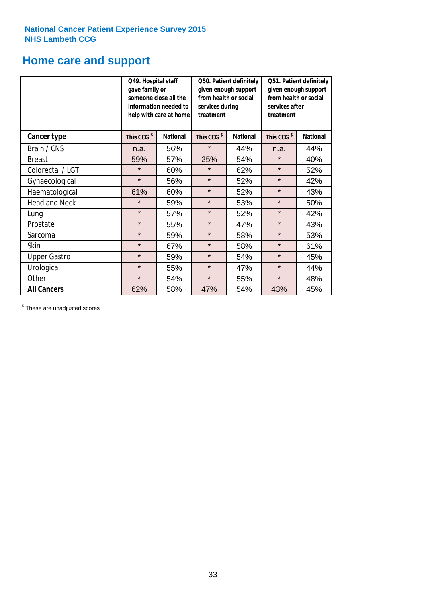### **Home care and support**

|                      | Q49. Hospital staff<br>gave family or                                                  | someone close all the<br>information needed to<br>help with care at home | Q50. Patient definitely<br>given enough support<br>from health or social<br>services during<br>treatment |                 | Q51. Patient definitely<br>given enough support<br>from health or social<br>services after<br>treatment |     |
|----------------------|----------------------------------------------------------------------------------------|--------------------------------------------------------------------------|----------------------------------------------------------------------------------------------------------|-----------------|---------------------------------------------------------------------------------------------------------|-----|
| <b>Cancer type</b>   | This CCG <sup>\$</sup><br><b>National</b><br>This CCG <sup>\$</sup><br><b>National</b> |                                                                          | This CCG <sup>\$</sup>                                                                                   | <b>National</b> |                                                                                                         |     |
| Brain / CNS          | n.a.                                                                                   | 56%                                                                      | $\star$                                                                                                  | 44%             | n.a.                                                                                                    | 44% |
| <b>Breast</b>        | 59%                                                                                    | 57%                                                                      | 25%                                                                                                      | 54%             | $\star$                                                                                                 | 40% |
| Colorectal / LGT     | $\star$                                                                                | 60%                                                                      | $\star$                                                                                                  | 62%             | $\star$                                                                                                 | 52% |
| Gynaecological       | $\star$                                                                                | 56%                                                                      | $\star$                                                                                                  | 52%             | $\star$                                                                                                 | 42% |
| Haematological       | 61%                                                                                    | 60%                                                                      | $\star$                                                                                                  | 52%             | $\star$                                                                                                 | 43% |
| <b>Head and Neck</b> | $\star$                                                                                | 59%                                                                      | $\star$                                                                                                  | 53%             | $\star$                                                                                                 | 50% |
| Lung                 | $\star$                                                                                | 57%                                                                      | $\star$                                                                                                  | 52%             | $\star$                                                                                                 | 42% |
| Prostate             | $\star$                                                                                | 55%                                                                      | $\star$                                                                                                  | 47%             | $\star$                                                                                                 | 43% |
| Sarcoma              | $\star$                                                                                | 59%                                                                      | $\star$                                                                                                  | 58%             | $\star$                                                                                                 | 53% |
| Skin                 | $\star$                                                                                | 67%                                                                      | $\star$                                                                                                  | 58%             | $\star$                                                                                                 | 61% |
| <b>Upper Gastro</b>  | $\star$                                                                                | 59%                                                                      | $\star$                                                                                                  | 54%             | $\star$                                                                                                 | 45% |
| Urological           | $\star$                                                                                | 55%                                                                      | $\star$                                                                                                  | 47%             | $\star$                                                                                                 | 44% |
| Other                | $\star$                                                                                | 54%                                                                      | $\star$                                                                                                  | 55%             | $\star$                                                                                                 | 48% |
| <b>All Cancers</b>   | 62%                                                                                    | 58%                                                                      | 47%                                                                                                      | 54%             | 43%                                                                                                     | 45% |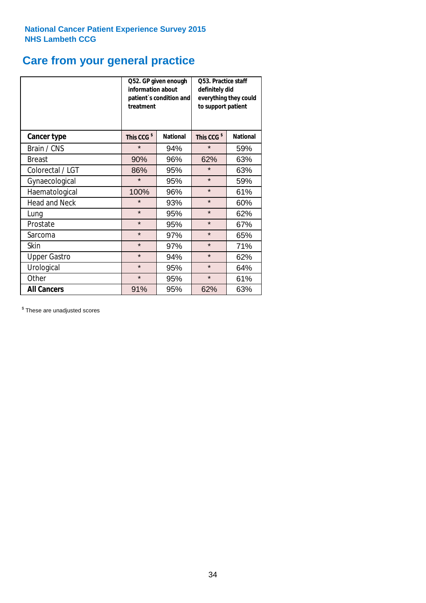# **Care from your general practice**

|                      | information about<br>treatment | Q52. GP given enough<br>patient's condition and | <b>O53. Practice staff</b><br>definitely did<br>everything they could<br>to support patient |                 |  |
|----------------------|--------------------------------|-------------------------------------------------|---------------------------------------------------------------------------------------------|-----------------|--|
| <b>Cancer type</b>   | This CCG <sup>\$</sup>         | <b>National</b>                                 | This CCG <sup>\$</sup>                                                                      | <b>National</b> |  |
| Brain / CNS          | $\star$                        | 94%                                             | $\star$                                                                                     | 59%             |  |
| <b>Breast</b>        | 90%                            | 96%                                             | 62%                                                                                         | 63%             |  |
| Colorectal / LGT     | 86%                            | 95%                                             | $\star$                                                                                     | 63%             |  |
| Gynaecological       | $\star$                        | 95%                                             | $\star$                                                                                     | 59%             |  |
| Haematological       | 100%                           | 96%                                             | $\star$                                                                                     | 61%             |  |
| <b>Head and Neck</b> | $\star$                        | 93%                                             | $\star$                                                                                     | 60%             |  |
| Lung                 | $\star$                        | 95%                                             | $\star$                                                                                     | 62%             |  |
| Prostate             | $\star$                        | 95%                                             | $\star$                                                                                     | 67%             |  |
| Sarcoma              | $\star$                        | 97%                                             | $\star$                                                                                     | 65%             |  |
| Skin                 | $\star$                        | 97%                                             | $\star$                                                                                     | 71%             |  |
| <b>Upper Gastro</b>  | $\star$                        | 94%                                             | $\star$                                                                                     | 62%             |  |
| Urological           | $\star$                        | 95%                                             | $\star$                                                                                     | 64%             |  |
| Other                | $\star$                        | 95%                                             | $\star$                                                                                     | 61%             |  |
| <b>All Cancers</b>   | 91%                            | 95%                                             | 62%                                                                                         | 63%             |  |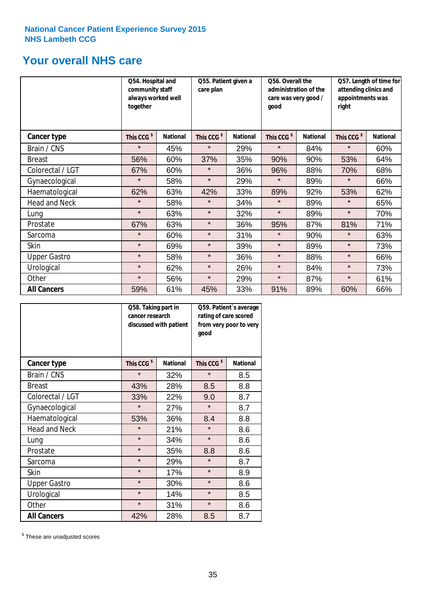### **Your overall NHS care**

|                      | Q54. Hospital and<br>community staff<br>always worked well<br>together |                 | Q55. Patient given a<br>care plan |                 | Q56. Overall the<br>administration of the<br>care was very good /<br>qood |                 | Q57. Length of time for<br>attending clinics and<br>appointments was<br>right |                 |
|----------------------|------------------------------------------------------------------------|-----------------|-----------------------------------|-----------------|---------------------------------------------------------------------------|-----------------|-------------------------------------------------------------------------------|-----------------|
| <b>Cancer type</b>   | This CCG <sup>\$</sup>                                                 | <b>National</b> | This CCG <sup>\$</sup>            | <b>National</b> | This CCG <sup>\$</sup>                                                    | <b>National</b> | This CCG <sup>\$</sup>                                                        | <b>National</b> |
| Brain / CNS          | $\star$                                                                | 45%             | $\star$                           | 29%             | $\star$                                                                   | 84%             | $\star$                                                                       | 60%             |
| <b>Breast</b>        | 56%                                                                    | 60%             | 37%                               | 35%             | 90%                                                                       | 90%             | 53%                                                                           | 64%             |
| Colorectal / LGT     | 67%                                                                    | 60%             | $\star$                           | 36%             | 96%                                                                       | 88%             | 70%                                                                           | 68%             |
| Gynaecological       | $\star$                                                                | 58%             | $\star$                           | 29%             | $\star$                                                                   | 89%             | $\star$                                                                       | 66%             |
| Haematological       | 62%                                                                    | 63%             | 42%                               | 33%             | 89%                                                                       | 92%             | 53%                                                                           | 62%             |
| <b>Head and Neck</b> | $\star$                                                                | 58%             | $\star$                           | 34%             | $\star$                                                                   | 89%             | $\star$                                                                       | 65%             |
| Lung                 | $\star$                                                                | 63%             | $\star$                           | 32%             | $\star$                                                                   | 89%             | $\star$                                                                       | 70%             |
| Prostate             | 67%                                                                    | 63%             | $\star$                           | 36%             | 95%                                                                       | 87%             | 81%                                                                           | 71%             |
| Sarcoma              | $\star$                                                                | 60%             | $\star$                           | 31%             | $\star$                                                                   | 90%             | $\star$                                                                       | 63%             |
| Skin                 | $\star$                                                                | 69%             | $\star$                           | 39%             | $\star$                                                                   | 89%             | $\star$                                                                       | 73%             |
| <b>Upper Gastro</b>  | $\star$                                                                | 58%             | $\star$                           | 36%             | $\star$                                                                   | 88%             | $\star$                                                                       | 66%             |
| Urological           | $\star$                                                                | 62%             | $\star$                           | 26%             | $\star$                                                                   | 84%             | $\star$                                                                       | 73%             |
| Other                | $\star$                                                                | 56%             | $\star$                           | 29%             | $\star$                                                                   | 87%             | $\star$                                                                       | 61%             |
| <b>All Cancers</b>   | 59%                                                                    | 61%             | 45%                               | 33%             | 91%                                                                       | 89%             | 60%                                                                           | 66%             |

|                      | Q58. Taking part in<br>cancer research | discussed with patient | Q59. Patient's average<br>rating of care scored<br>from very poor to very<br>good |                 |  |
|----------------------|----------------------------------------|------------------------|-----------------------------------------------------------------------------------|-----------------|--|
| <b>Cancer type</b>   | This CCG <sup>\$</sup>                 | <b>National</b>        | This CCG <sup>\$</sup>                                                            | <b>National</b> |  |
| Brain / CNS          | $\star$                                | 32%                    | $\star$                                                                           | 8.5             |  |
| <b>Breast</b>        | 43%                                    | 28%                    | 8.5                                                                               | 8.8             |  |
| Colorectal / LGT     | 33%                                    | 22%                    | 9.0                                                                               | 8.7             |  |
| Gynaecological       | $\star$                                | 27%                    | $\star$                                                                           | 8.7             |  |
| Haematological       | 53%                                    | 36%                    | 8.4                                                                               | 8.8             |  |
| <b>Head and Neck</b> | $\star$                                | 21%                    | $\star$                                                                           | 8.6             |  |
| Lung                 | $\star$                                | 34%                    | $\star$                                                                           | 8.6             |  |
| Prostate             | $\star$                                | 35%                    | 8.8                                                                               | 8.6             |  |
| Sarcoma              | $\star$                                | 29%                    | $\star$                                                                           | 8.7             |  |
| Skin                 | $\star$                                | 17%                    | $\star$                                                                           | 8.9             |  |
| <b>Upper Gastro</b>  | $\star$                                | 30%                    | $\star$                                                                           | 8.6             |  |
| Urological           | $\star$                                | 14%                    | $\star$                                                                           | 8.5             |  |
| Other                | $\star$                                | 31%                    | $\star$                                                                           | 8.6             |  |
| <b>All Cancers</b>   | 42%                                    | 28%                    | 8.5                                                                               | 8.7             |  |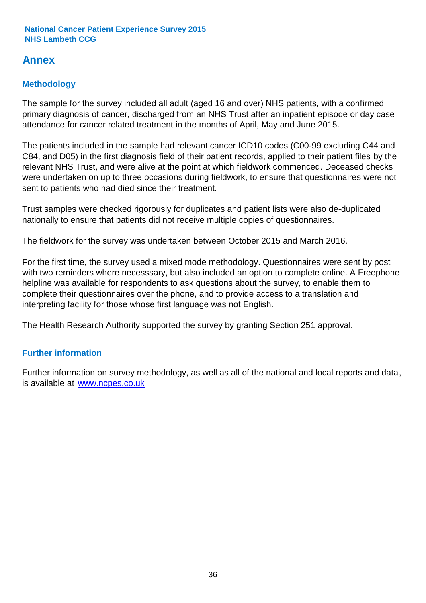### **Annex**

### **Methodology**

The sample for the survey included all adult (aged 16 and over) NHS patients, with a confirmed primary diagnosis of cancer, discharged from an NHS Trust after an inpatient episode or day case attendance for cancer related treatment in the months of April, May and June 2015.

The patients included in the sample had relevant cancer ICD10 codes (C00-99 excluding C44 and C84, and D05) in the first diagnosis field of their patient records, applied to their patient files by the relevant NHS Trust, and were alive at the point at which fieldwork commenced. Deceased checks were undertaken on up to three occasions during fieldwork, to ensure that questionnaires were not sent to patients who had died since their treatment.

Trust samples were checked rigorously for duplicates and patient lists were also de-duplicated nationally to ensure that patients did not receive multiple copies of questionnaires.

The fieldwork for the survey was undertaken between October 2015 and March 2016.

For the first time, the survey used a mixed mode methodology. Questionnaires were sent by post with two reminders where necesssary, but also included an option to complete online. A Freephone helpline was available for respondents to ask questions about the survey, to enable them to complete their questionnaires over the phone, and to provide access to a translation and interpreting facility for those whose first language was not English.

The Health Research Authority supported the survey by granting Section 251 approval.

#### **Further information**

Further information on survey methodology, as well as all of the national and local reports and data, is available at www.ncpes.co.uk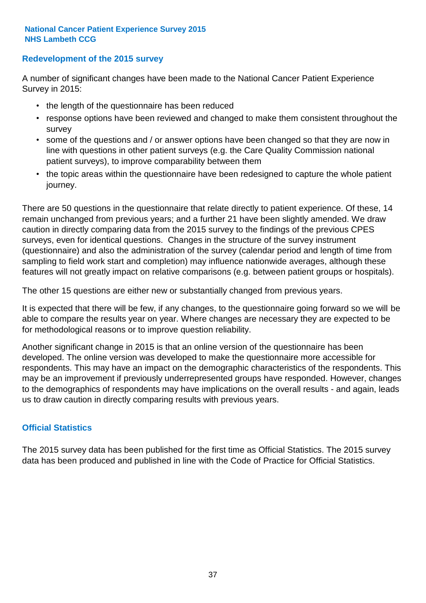#### **Redevelopment of the 2015 survey**

A number of significant changes have been made to the National Cancer Patient Experience Survey in 2015:

- the length of the questionnaire has been reduced
- response options have been reviewed and changed to make them consistent throughout the survey
- some of the questions and / or answer options have been changed so that they are now in line with questions in other patient surveys (e.g. the Care Quality Commission national patient surveys), to improve comparability between them
- the topic areas within the questionnaire have been redesigned to capture the whole patient journey.

There are 50 questions in the questionnaire that relate directly to patient experience. Of these, 14 remain unchanged from previous years; and a further 21 have been slightly amended. We draw caution in directly comparing data from the 2015 survey to the findings of the previous CPES surveys, even for identical questions. Changes in the structure of the survey instrument (questionnaire) and also the administration of the survey (calendar period and length of time from sampling to field work start and completion) may influence nationwide averages, although these features will not greatly impact on relative comparisons (e.g. between patient groups or hospitals).

The other 15 questions are either new or substantially changed from previous years.

It is expected that there will be few, if any changes, to the questionnaire going forward so we will be able to compare the results year on year. Where changes are necessary they are expected to be for methodological reasons or to improve question reliability.

Another significant change in 2015 is that an online version of the questionnaire has been developed. The online version was developed to make the questionnaire more accessible for respondents. This may have an impact on the demographic characteristics of the respondents. This may be an improvement if previously underrepresented groups have responded. However, changes to the demographics of respondents may have implications on the overall results - and again, leads us to draw caution in directly comparing results with previous years.

#### **Official Statistics**

The 2015 survey data has been published for the first time as Official Statistics. The 2015 survey data has been produced and published in line with the Code of Practice for Official Statistics.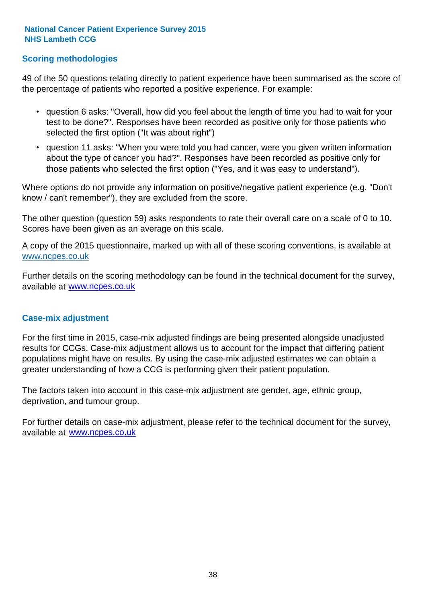#### **Scoring methodologies**

49 of the 50 questions relating directly to patient experience have been summarised as the score of the percentage of patients who reported a positive experience. For example:

- question 6 asks: "Overall, how did you feel about the length of time you had to wait for your test to be done?". Responses have been recorded as positive only for those patients who selected the first option ("It was about right")
- question 11 asks: "When you were told you had cancer, were you given written information about the type of cancer you had?". Responses have been recorded as positive only for those patients who selected the first option ("Yes, and it was easy to understand").

Where options do not provide any information on positive/negative patient experience (e.g. "Don't know / can't remember"), they are excluded from the score.

The other question (question 59) asks respondents to rate their overall care on a scale of 0 to 10. Scores have been given as an average on this scale.

A copy of the 2015 questionnaire, marked up with all of these scoring conventions, is available at www.ncpes.co.uk

Further details on the scoring methodology can be found in the technical document for the survey, available at <u>www.ncpes.co.uk</u>

#### **Case-mix adjustment**

For the first time in 2015, case-mix adjusted findings are being presented alongside unadjusted results for CCGs. Case-mix adjustment allows us to account for the impact that differing patient populations might have on results. By using the case-mix adjusted estimates we can obtain a greater understanding of how a CCG is performing given their patient population.

The factors taken into account in this case-mix adjustment are gender, age, ethnic group, deprivation, and tumour group.

For further details on case-mix adjustment, please refer to the technical document for the survey, available at www.ncpes.co.uk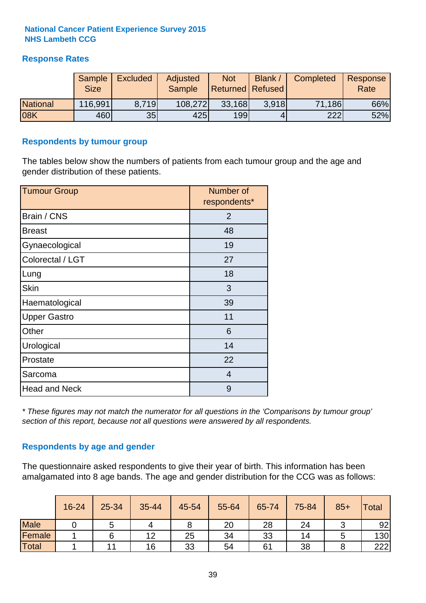#### **Response Rates**

|                 | Sample      | <b>Excluded</b> | Adjusted      | <b>Not</b>              | Blank / | Completed | Response |
|-----------------|-------------|-----------------|---------------|-------------------------|---------|-----------|----------|
|                 | <b>Size</b> |                 | <b>Sample</b> | <b>Returned Refused</b> |         |           | Rate     |
| <b>National</b> | 116,991     | 8.719           | 108,272       | 33,168                  | 3.918   | 71,186    | 66%      |
| 08K             | 460         | 35              | 425           | 199                     |         | 222       | 52%      |

#### **Respondents by tumour group**

The tables below show the numbers of patients from each tumour group and the age and gender distribution of these patients.

| <b>Tumour Group</b>  | Number of<br>respondents* |
|----------------------|---------------------------|
| Brain / CNS          | $\overline{2}$            |
| <b>Breast</b>        | 48                        |
| Gynaecological       | 19                        |
| Colorectal / LGT     | 27                        |
| Lung                 | 18                        |
| <b>Skin</b>          | 3                         |
| Haematological       | 39                        |
| <b>Upper Gastro</b>  | 11                        |
| Other                | 6                         |
| Urological           | 14                        |
| Prostate             | 22                        |
| Sarcoma              | $\overline{4}$            |
| <b>Head and Neck</b> | 9                         |

*\* These figures may not match the numerator for all questions in the 'Comparisons by tumour group' section of this report, because not all questions were answered by all respondents.*

#### **Respondents by age and gender**

The questionnaire asked respondents to give their year of birth. This information has been amalgamated into 8 age bands. The age and gender distribution for the CCG was as follows:

|             | 16-24 | 25-34 | 35-44 | 45-54 | 55-64 | 65-74 | 75-84 | $85+$ | <b>Total</b> |
|-------------|-------|-------|-------|-------|-------|-------|-------|-------|--------------|
| <b>Male</b> |       | ັ     |       |       | 20    | 28    | 24    |       | 92           |
| Female      |       |       | 12    | 25    | 34    | 33    | 14    |       | 130          |
| Total       |       |       | 16    | 33    | 54    | 61    | 38    |       | 222          |